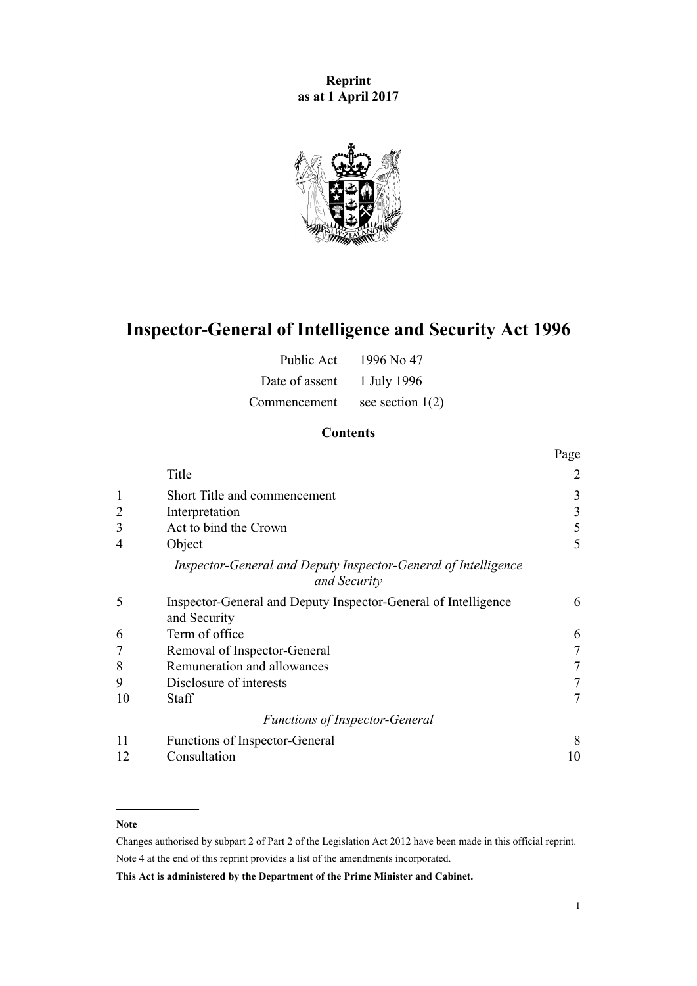**Reprint as at 1 April 2017**



# **Inspector-General of Intelligence and Security Act 1996**

| Public Act     | 1996 No 47         |
|----------------|--------------------|
| Date of assent | 1 July 1996        |
| Commencement   | see section $1(2)$ |

# **Contents**

|              |                                                                                | Page            |
|--------------|--------------------------------------------------------------------------------|-----------------|
|              | Title                                                                          | 2               |
| $\mathbf{1}$ | Short Title and commencement                                                   | 3               |
|              | Interpretation                                                                 | 3               |
| 3            | Act to bind the Crown                                                          | 5               |
| 4            | Object                                                                         | 5               |
|              | Inspector-General and Deputy Inspector-General of Intelligence<br>and Security |                 |
| 5            | Inspector-General and Deputy Inspector-General of Intelligence<br>and Security | 6               |
| 6            | Term of office                                                                 | 6               |
|              | Removal of Inspector-General                                                   |                 |
| 8            | Remuneration and allowances                                                    | $7\phantom{.0}$ |
| 9            | Disclosure of interests                                                        |                 |
| 10           | <b>Staff</b>                                                                   | 7               |
|              | <b>Functions of Inspector-General</b>                                          |                 |
| 11           | <b>Functions of Inspector-General</b>                                          | 8               |
| 12           | Consultation                                                                   | 10              |

#### **Note**

Changes authorised by [subpart 2](http://prd-lgnz-nlb.prd.pco.net.nz/pdflink.aspx?id=DLM2998524) of Part 2 of the Legislation Act 2012 have been made in this official reprint. Note 4 at the end of this reprint provides a list of the amendments incorporated.

**This Act is administered by the Department of the Prime Minister and Cabinet.**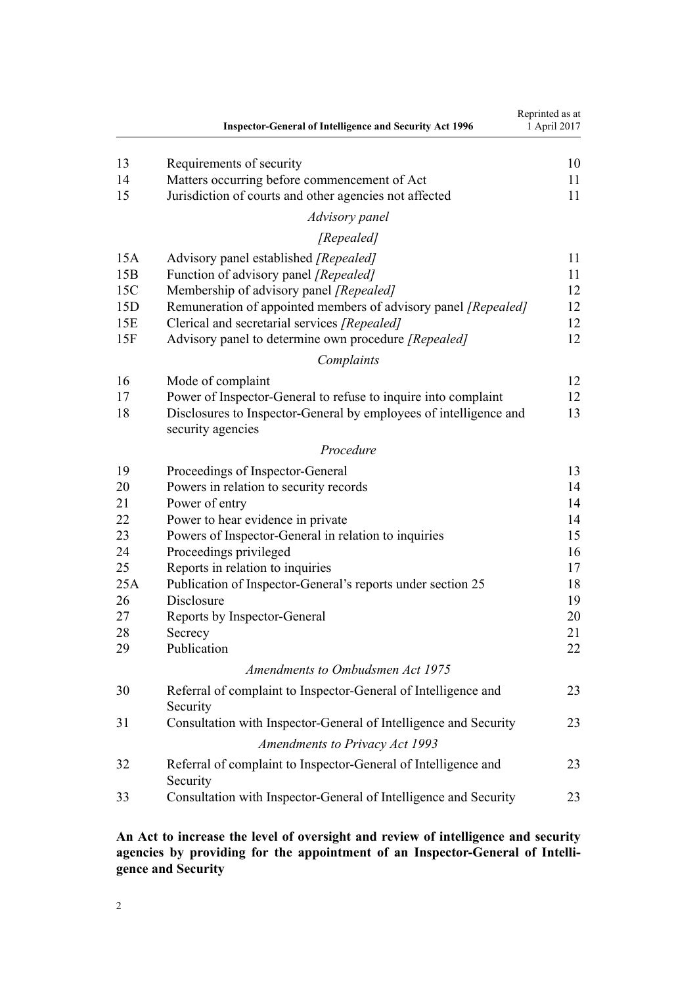<span id="page-1-0"></span>

|     | <b>Inspector-General of Intelligence and Security Act 1996</b>                         | Reprinted as at<br>1 April 2017 |
|-----|----------------------------------------------------------------------------------------|---------------------------------|
| 13  | Requirements of security                                                               | 10                              |
| 14  | Matters occurring before commencement of Act                                           | 11                              |
| 15  | Jurisdiction of courts and other agencies not affected                                 | 11                              |
|     | Advisory panel                                                                         |                                 |
|     | [Repealed]                                                                             |                                 |
| 15A | Advisory panel established [Repealed]                                                  | 11                              |
| 15B | Function of advisory panel [Repealed]                                                  | 11                              |
| 15C | Membership of advisory panel [Repealed]                                                | 12                              |
| 15D | Remuneration of appointed members of advisory panel [Repealed]                         | 12                              |
| 15E | Clerical and secretarial services [Repealed]                                           | 12                              |
| 15F | Advisory panel to determine own procedure [Repealed]                                   | 12                              |
|     | Complaints                                                                             |                                 |
| 16  | Mode of complaint                                                                      | 12                              |
| 17  | Power of Inspector-General to refuse to inquire into complaint                         | 12                              |
| 18  | Disclosures to Inspector-General by employees of intelligence and<br>security agencies | 13                              |
|     | Procedure                                                                              |                                 |
| 19  | Proceedings of Inspector-General                                                       | 13                              |
| 20  | Powers in relation to security records                                                 | 14                              |
| 21  | Power of entry                                                                         | 14                              |
| 22  | Power to hear evidence in private                                                      | 14                              |
| 23  | Powers of Inspector-General in relation to inquiries                                   | 15                              |
| 24  | Proceedings privileged                                                                 | 16                              |
| 25  | Reports in relation to inquiries                                                       | 17                              |
| 25A | Publication of Inspector-General's reports under section 25                            | 18                              |
| 26  | Disclosure                                                                             | 19                              |
| 27  | Reports by Inspector-General                                                           | 20                              |
| 28  | Secrecy                                                                                | 21                              |
| 29  | Publication                                                                            | 22                              |
|     | Amendments to Ombudsmen Act 1975                                                       |                                 |
| 30  | Referral of complaint to Inspector-General of Intelligence and<br>Security             | 23                              |
| 31  | Consultation with Inspector-General of Intelligence and Security                       | 23                              |
|     | <b>Amendments to Privacy Act 1993</b>                                                  |                                 |
| 32  | Referral of complaint to Inspector-General of Intelligence and<br>Security             | 23                              |
| 33  | Consultation with Inspector-General of Intelligence and Security                       | 23                              |

**An Act to increase the level of oversight and review of intelligence and security agencies by providing for the appointment of an Inspector-General of Intelligence and Security**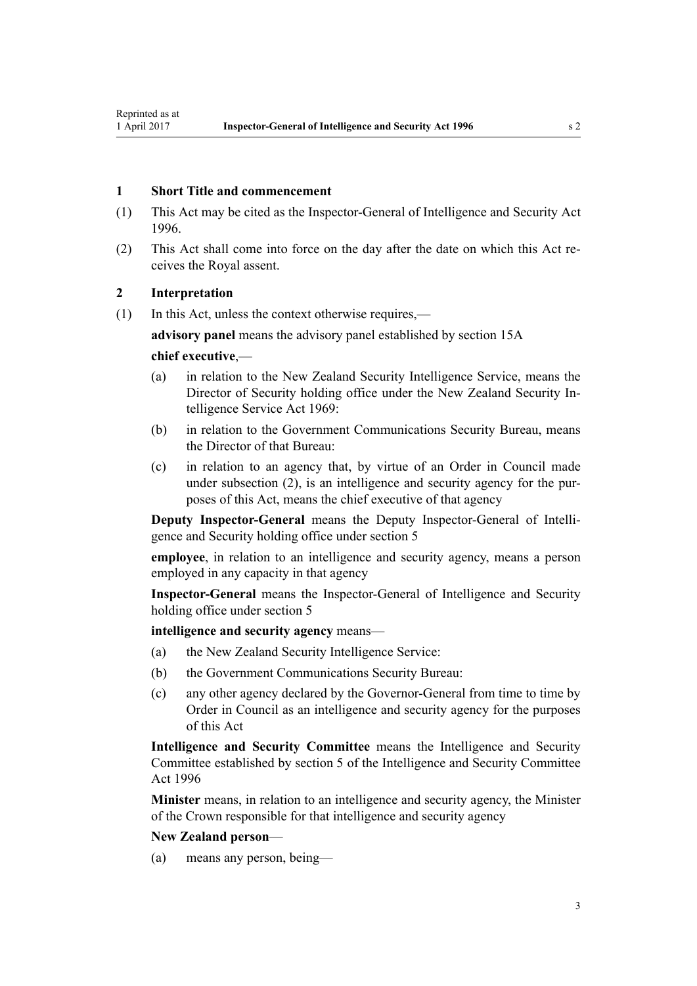## <span id="page-2-0"></span>**1 Short Title and commencement**

- (1) This Act may be cited as the Inspector-General of Intelligence and Security Act 1996.
- (2) This Act shall come into force on the day after the date on which this Act receives the Royal assent.

## **2 Interpretation**

(1) In this Act, unless the context otherwise requires,—

**advisory panel** means the advisory panel established by [section 15A](#page-10-0)

#### **chief executive**,—

- (a) in relation to the New Zealand Security Intelligence Service, means the Director of Security holding office under the [New Zealand Security In](http://prd-lgnz-nlb.prd.pco.net.nz/pdflink.aspx?id=DLM391605)[telligence Service Act 1969:](http://prd-lgnz-nlb.prd.pco.net.nz/pdflink.aspx?id=DLM391605)
- (b) in relation to the Government Communications Security Bureau, means the Director of that Bureau:
- (c) in relation to an agency that, by virtue of an Order in Council made under subsection (2), is an intelligence and security agency for the purposes of this Act, means the chief executive of that agency

**Deputy Inspector-General** means the Deputy Inspector-General of Intelligence and Security holding office under [section 5](#page-5-0)

**employee**, in relation to an intelligence and security agency, means a person employed in any capacity in that agency

**Inspector-General** means the Inspector-General of Intelligence and Security holding office under [section 5](#page-5-0)

**intelligence and security agency** means—

- (a) the New Zealand Security Intelligence Service:
- (b) the Government Communications Security Bureau:
- (c) any other agency declared by the Governor-General from time to time by Order in Council as an intelligence and security agency for the purposes of this Act

**Intelligence and Security Committee** means the Intelligence and Security Committee established by [section 5](http://prd-lgnz-nlb.prd.pco.net.nz/pdflink.aspx?id=DLM392266) of the Intelligence and Security Committee Act 1996

**Minister** means, in relation to an intelligence and security agency, the Minister of the Crown responsible for that intelligence and security agency

#### **New Zealand person**—

(a) means any person, being—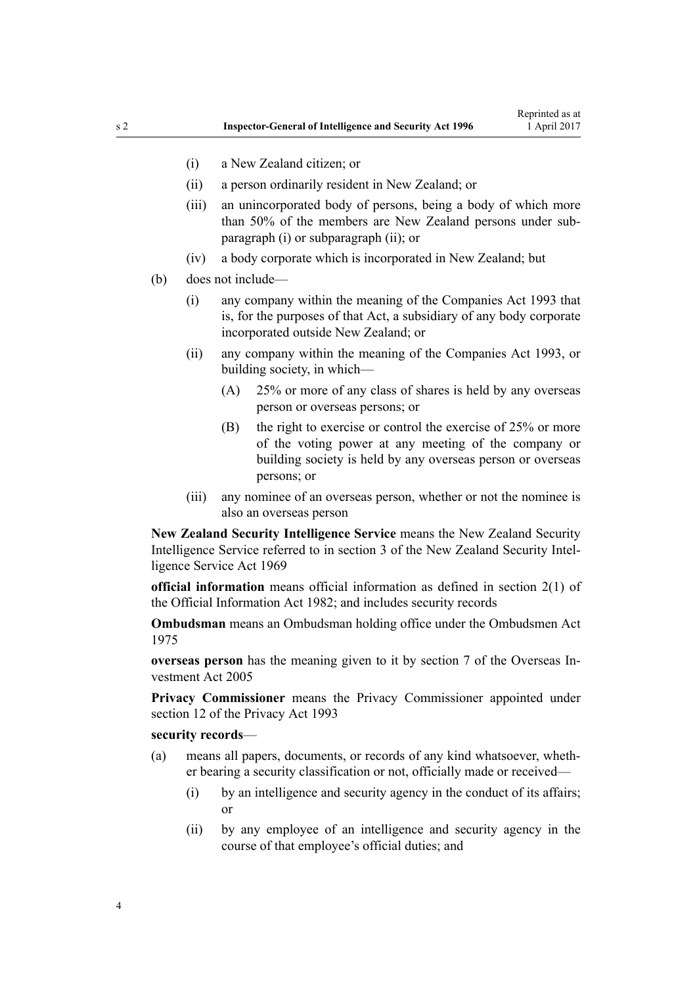- (i) a New Zealand citizen; or
- (ii) a person ordinarily resident in New Zealand; or
- (iii) an unincorporated body of persons, being a body of which more than 50% of the members are New Zealand persons under subparagraph (i) or subparagraph (ii); or
- (iv) a body corporate which is incorporated in New Zealand; but
- (b) does not include—
	- (i) any company within the meaning of the [Companies Act 1993](http://prd-lgnz-nlb.prd.pco.net.nz/pdflink.aspx?id=DLM319569) that is, for the purposes of that Act, a subsidiary of any body corporate incorporated outside New Zealand; or
	- (ii) any company within the meaning of the [Companies Act 1993,](http://prd-lgnz-nlb.prd.pco.net.nz/pdflink.aspx?id=DLM319569) or building society, in which—
		- (A) 25% or more of any class of shares is held by any overseas person or overseas persons; or
		- (B) the right to exercise or control the exercise of 25% or more of the voting power at any meeting of the company or building society is held by any overseas person or overseas persons; or
	- (iii) any nominee of an overseas person, whether or not the nominee is also an overseas person

**New Zealand Security Intelligence Service** means the New Zealand Security Intelligence Service referred to in [section 3](http://prd-lgnz-nlb.prd.pco.net.nz/pdflink.aspx?id=DLM391803) of the New Zealand Security Intelligence Service Act 1969

**official information** means official information as defined in [section 2\(1\)](http://prd-lgnz-nlb.prd.pco.net.nz/pdflink.aspx?id=DLM65309) of the Official Information Act 1982; and includes security records

**Ombudsman** means an Ombudsman holding office under the [Ombudsmen Act](http://prd-lgnz-nlb.prd.pco.net.nz/pdflink.aspx?id=DLM430983) [1975](http://prd-lgnz-nlb.prd.pco.net.nz/pdflink.aspx?id=DLM430983)

**overseas person** has the meaning given to it by [section 7](http://prd-lgnz-nlb.prd.pco.net.nz/pdflink.aspx?id=DLM357794) of the Overseas Investment Act 2005

**Privacy Commissioner** means the Privacy Commissioner appointed under [section 12](http://prd-lgnz-nlb.prd.pco.net.nz/pdflink.aspx?id=DLM297053) of the Privacy Act 1993

**security records**—

- (a) means all papers, documents, or records of any kind whatsoever, whether bearing a security classification or not, officially made or received—
	- (i) by an intelligence and security agency in the conduct of its affairs; or
	- (ii) by any employee of an intelligence and security agency in the course of that employee's official duties; and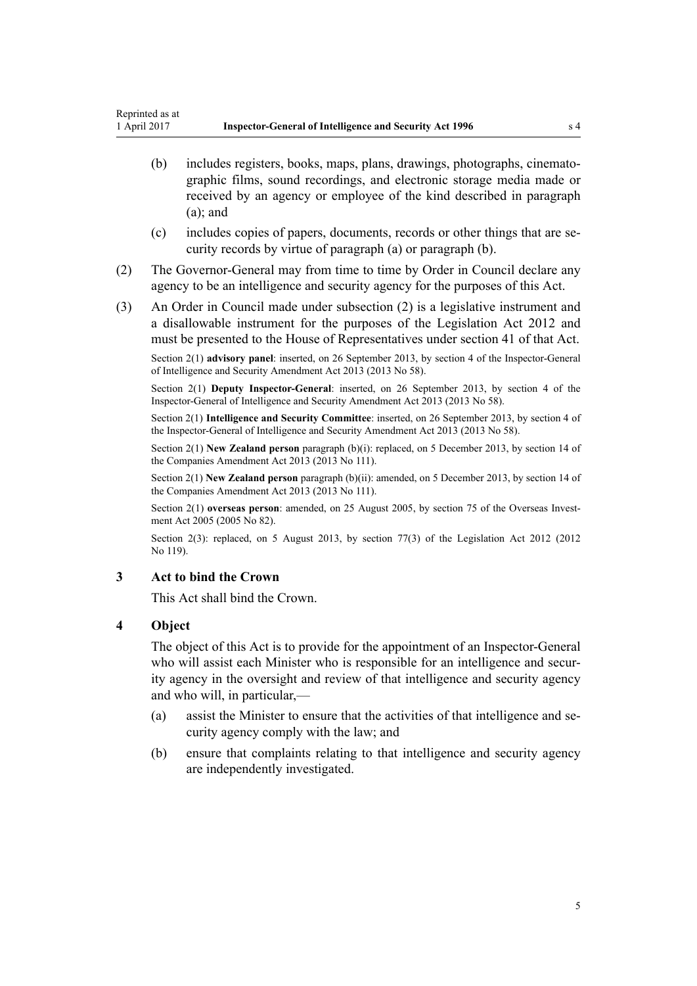- <span id="page-4-0"></span>(b) includes registers, books, maps, plans, drawings, photographs, cinematographic films, sound recordings, and electronic storage media made or received by an agency or employee of the kind described in paragraph (a); and
- (c) includes copies of papers, documents, records or other things that are security records by virtue of paragraph (a) or paragraph (b).
- (2) The Governor-General may from time to time by Order in Council declare any agency to be an intelligence and security agency for the purposes of this Act.
- (3) An Order in Council made under subsection (2) is a legislative instrument and a disallowable instrument for the purposes of the [Legislation Act 2012](http://prd-lgnz-nlb.prd.pco.net.nz/pdflink.aspx?id=DLM2997643) and must be presented to the House of Representatives under [section 41](http://prd-lgnz-nlb.prd.pco.net.nz/pdflink.aspx?id=DLM2998573) of that Act.

Section 2(1) **advisory panel**: inserted, on 26 September 2013, by [section 4](http://prd-lgnz-nlb.prd.pco.net.nz/pdflink.aspx?id=DLM5495909) of the Inspector-General of Intelligence and Security Amendment Act 2013 (2013 No 58).

Section 2(1) **Deputy Inspector-General**: inserted, on 26 September 2013, by [section 4](http://prd-lgnz-nlb.prd.pco.net.nz/pdflink.aspx?id=DLM5495909) of the Inspector-General of Intelligence and Security Amendment Act 2013 (2013 No 58).

Section 2(1) **Intelligence and Security Committee**: inserted, on 26 September 2013, by [section 4](http://prd-lgnz-nlb.prd.pco.net.nz/pdflink.aspx?id=DLM5495909) of the Inspector-General of Intelligence and Security Amendment Act 2013 (2013 No 58).

Section 2(1) **New Zealand person** paragraph (b)(i): replaced, on 5 December 2013, by [section 14](http://prd-lgnz-nlb.prd.pco.net.nz/pdflink.aspx?id=DLM5620822) of the Companies Amendment Act 2013 (2013 No 111).

Section 2(1) **New Zealand person** paragraph (b)(ii): amended, on 5 December 2013, by [section 14](http://prd-lgnz-nlb.prd.pco.net.nz/pdflink.aspx?id=DLM5620822) of the Companies Amendment Act 2013 (2013 No 111).

Section 2(1) **overseas person**: amended, on 25 August 2005, by [section 75](http://prd-lgnz-nlb.prd.pco.net.nz/pdflink.aspx?id=DLM358540) of the Overseas Investment Act 2005 (2005 No 82).

Section 2(3): replaced, on 5 August 2013, by [section 77\(3\)](http://prd-lgnz-nlb.prd.pco.net.nz/pdflink.aspx?id=DLM2998633) of the Legislation Act 2012 (2012) No 119).

## **3 Act to bind the Crown**

This Act shall bind the Crown.

## **4 Object**

The object of this Act is to provide for the appointment of an Inspector-General who will assist each Minister who is responsible for an intelligence and security agency in the oversight and review of that intelligence and security agency and who will, in particular,—

- (a) assist the Minister to ensure that the activities of that intelligence and security agency comply with the law; and
- (b) ensure that complaints relating to that intelligence and security agency are independently investigated.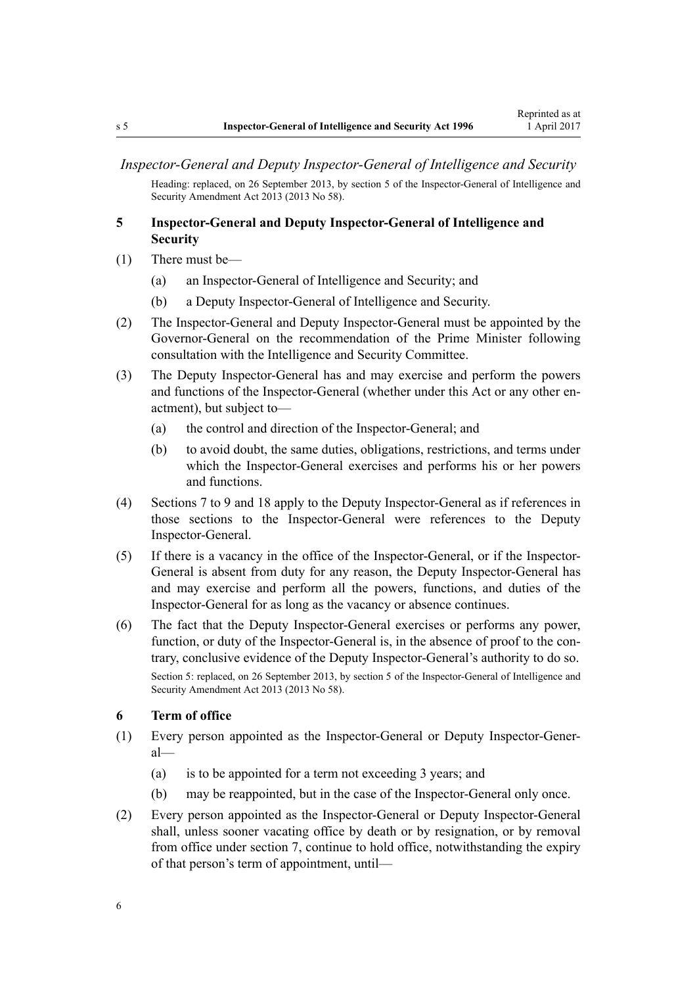#### <span id="page-5-0"></span>*Inspector-General and Deputy Inspector-General of Intelligence and Security*

Heading: replaced, on 26 September 2013, by [section 5](http://prd-lgnz-nlb.prd.pco.net.nz/pdflink.aspx?id=DLM5495916) of the Inspector-General of Intelligence and Security Amendment Act 2013 (2013 No 58).

## **5 Inspector-General and Deputy Inspector-General of Intelligence and Security**

- (1) There must be—
	- (a) an Inspector-General of Intelligence and Security; and
	- (b) a Deputy Inspector-General of Intelligence and Security.
- (2) The Inspector-General and Deputy Inspector-General must be appointed by the Governor-General on the recommendation of the Prime Minister following consultation with the Intelligence and Security Committee.
- (3) The Deputy Inspector-General has and may exercise and perform the powers and functions of the Inspector-General (whether under this Act or any other enactment), but subject to—
	- (a) the control and direction of the Inspector-General; and
	- (b) to avoid doubt, the same duties, obligations, restrictions, and terms under which the Inspector-General exercises and performs his or her powers and functions.
- (4) [Sections 7 to 9](#page-6-0) and [18](#page-12-0) apply to the Deputy Inspector-General as if references in those sections to the Inspector-General were references to the Deputy Inspector-General.
- (5) If there is a vacancy in the office of the Inspector-General, or if the Inspector-General is absent from duty for any reason, the Deputy Inspector-General has and may exercise and perform all the powers, functions, and duties of the Inspector-General for as long as the vacancy or absence continues.
- (6) The fact that the Deputy Inspector-General exercises or performs any power, function, or duty of the Inspector-General is, in the absence of proof to the contrary, conclusive evidence of the Deputy Inspector-General's authority to do so.

Section 5: replaced, on 26 September 2013, by [section 5](http://prd-lgnz-nlb.prd.pco.net.nz/pdflink.aspx?id=DLM5495916) of the Inspector-General of Intelligence and Security Amendment Act 2013 (2013 No 58).

## **6 Term of office**

- (1) Every person appointed as the Inspector-General or Deputy Inspector-General—
	- (a) is to be appointed for a term not exceeding 3 years; and
	- (b) may be reappointed, but in the case of the Inspector-General only once.
- (2) Every person appointed as the Inspector-General or Deputy Inspector-General shall, unless sooner vacating office by death or by resignation, or by removal from office under [section 7](#page-6-0), continue to hold office, notwithstanding the expiry of that person's term of appointment, until—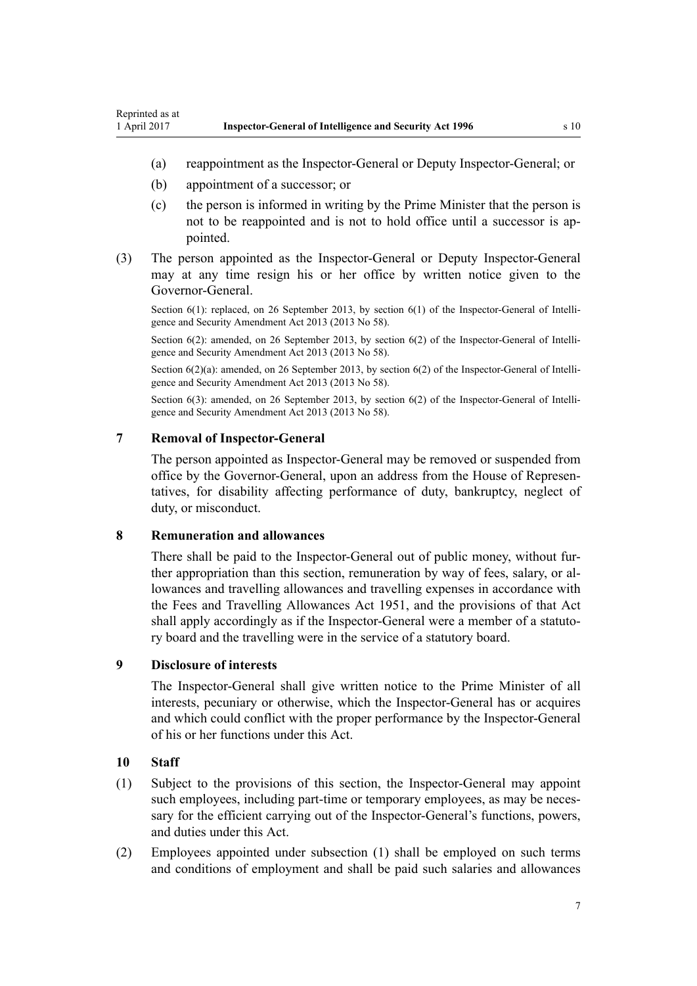- <span id="page-6-0"></span>(a) reappointment as the Inspector-General or Deputy Inspector-General; or
- (b) appointment of a successor; or
- (c) the person is informed in writing by the Prime Minister that the person is not to be reappointed and is not to hold office until a successor is appointed.
- (3) The person appointed as the Inspector-General or Deputy Inspector-General may at any time resign his or her office by written notice given to the Governor-General.

Section 6(1): replaced, on 26 September 2013, by [section 6\(1\)](http://prd-lgnz-nlb.prd.pco.net.nz/pdflink.aspx?id=DLM5495919) of the Inspector-General of Intelligence and Security Amendment Act 2013 (2013 No 58).

Section 6(2): amended, on 26 September 2013, by [section 6\(2\)](http://prd-lgnz-nlb.prd.pco.net.nz/pdflink.aspx?id=DLM5495919) of the Inspector-General of Intelligence and Security Amendment Act 2013 (2013 No 58).

Section 6(2)(a): amended, on 26 September 2013, by [section 6\(2\)](http://prd-lgnz-nlb.prd.pco.net.nz/pdflink.aspx?id=DLM5495919) of the Inspector-General of Intelligence and Security Amendment Act 2013 (2013 No 58).

Section 6(3): amended, on 26 September 2013, by [section 6\(2\)](http://prd-lgnz-nlb.prd.pco.net.nz/pdflink.aspx?id=DLM5495919) of the Inspector-General of Intelligence and Security Amendment Act 2013 (2013 No 58).

## **7 Removal of Inspector-General**

The person appointed as Inspector-General may be removed or suspended from office by the Governor-General, upon an address from the House of Representatives, for disability affecting performance of duty, bankruptcy, neglect of duty, or misconduct.

## **8 Remuneration and allowances**

There shall be paid to the Inspector-General out of public money, without further appropriation than this section, remuneration by way of fees, salary, or allowances and travelling allowances and travelling expenses in accordance with the [Fees and Travelling Allowances Act 1951,](http://prd-lgnz-nlb.prd.pco.net.nz/pdflink.aspx?id=DLM264952) and the provisions of that Act shall apply accordingly as if the Inspector-General were a member of a statutory board and the travelling were in the service of a statutory board.

## **9 Disclosure of interests**

The Inspector-General shall give written notice to the Prime Minister of all interests, pecuniary or otherwise, which the Inspector-General has or acquires and which could conflict with the proper performance by the Inspector-General of his or her functions under this Act.

## **10 Staff**

- (1) Subject to the provisions of this section, the Inspector-General may appoint such employees, including part-time or temporary employees, as may be necessary for the efficient carrying out of the Inspector-General's functions, powers, and duties under this Act.
- (2) Employees appointed under subsection (1) shall be employed on such terms and conditions of employment and shall be paid such salaries and allowances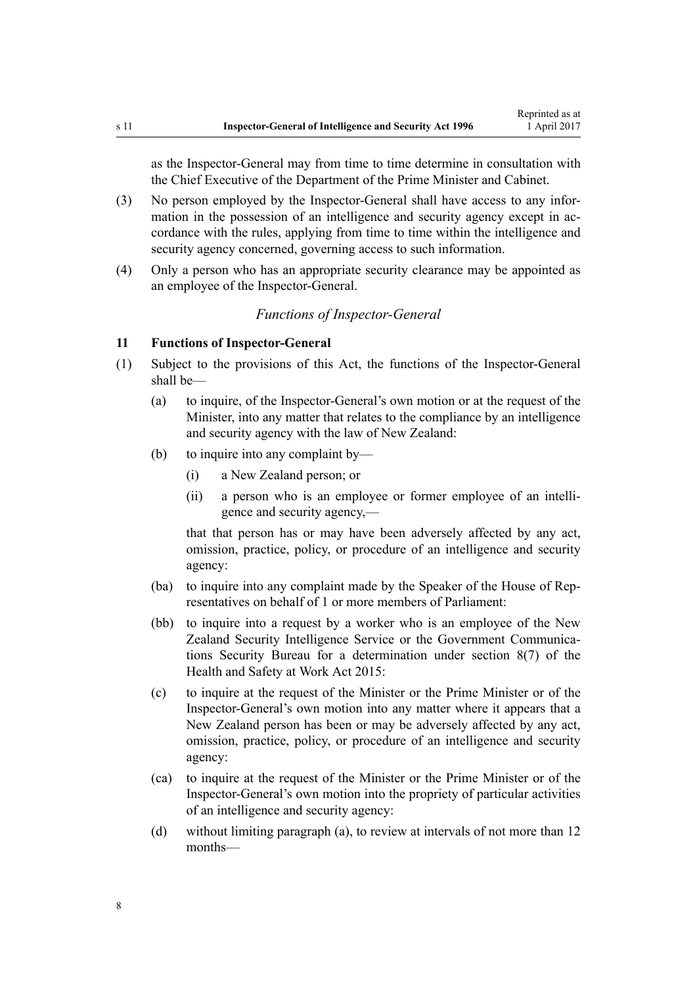<span id="page-7-0"></span>as the Inspector-General may from time to time determine in consultation with the Chief Executive of the Department of the Prime Minister and Cabinet.

- (3) No person employed by the Inspector-General shall have access to any information in the possession of an intelligence and security agency except in accordance with the rules, applying from time to time within the intelligence and security agency concerned, governing access to such information.
- (4) Only a person who has an appropriate security clearance may be appointed as an employee of the Inspector-General.

## *Functions of Inspector-General*

## **11 Functions of Inspector-General**

- (1) Subject to the provisions of this Act, the functions of the Inspector-General shall be—
	- (a) to inquire, of the Inspector-General's own motion or at the request of the Minister, into any matter that relates to the compliance by an intelligence and security agency with the law of New Zealand:
	- (b) to inquire into any complaint by—
		- (i) a New Zealand person; or
		- (ii) a person who is an employee or former employee of an intelligence and security agency,—

that that person has or may have been adversely affected by any act, omission, practice, policy, or procedure of an intelligence and security agency:

- (ba) to inquire into any complaint made by the Speaker of the House of Representatives on behalf of 1 or more members of Parliament:
- (bb) to inquire into a request by a worker who is an employee of the New Zealand Security Intelligence Service or the Government Communications Security Bureau for a determination under [section 8\(7\)](http://prd-lgnz-nlb.prd.pco.net.nz/pdflink.aspx?id=DLM6544104) of the Health and Safety at Work Act 2015:
- (c) to inquire at the request of the Minister or the Prime Minister or of the Inspector-General's own motion into any matter where it appears that a New Zealand person has been or may be adversely affected by any act, omission, practice, policy, or procedure of an intelligence and security agency:
- (ca) to inquire at the request of the Minister or the Prime Minister or of the Inspector-General's own motion into the propriety of particular activities of an intelligence and security agency:
- (d) without limiting paragraph (a), to review at intervals of not more than 12 months—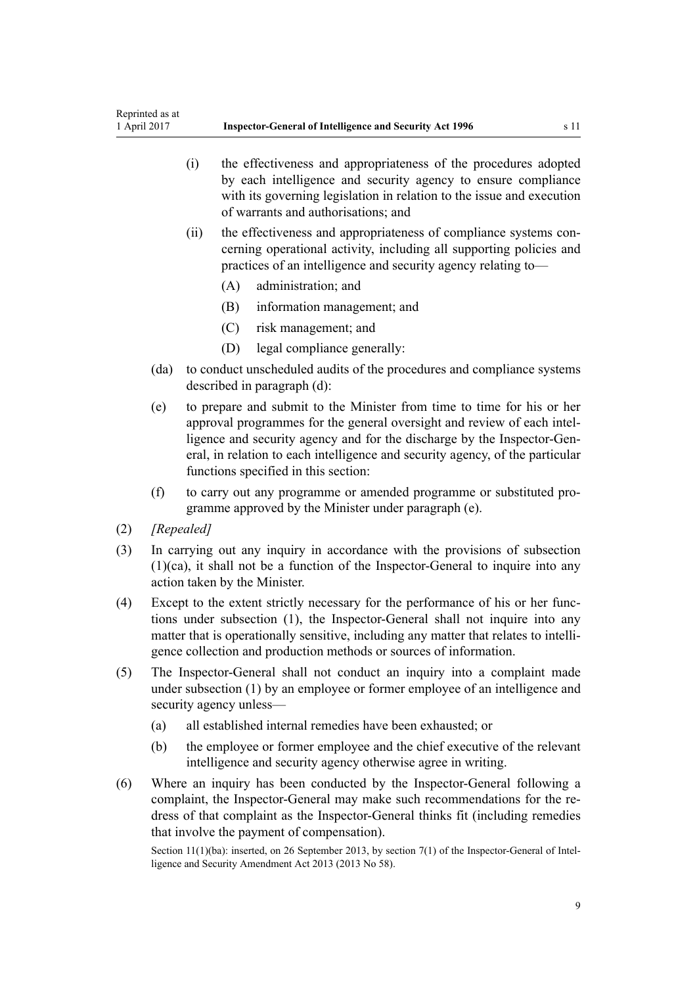- (i) the effectiveness and appropriateness of the procedures adopted by each intelligence and security agency to ensure compliance with its governing legislation in relation to the issue and execution of warrants and authorisations; and
- (ii) the effectiveness and appropriateness of compliance systems concerning operational activity, including all supporting policies and practices of an intelligence and security agency relating to—
	- (A) administration; and
	- (B) information management; and
	- (C) risk management; and
	- (D) legal compliance generally:
- (da) to conduct unscheduled audits of the procedures and compliance systems described in paragraph (d):
- (e) to prepare and submit to the Minister from time to time for his or her approval programmes for the general oversight and review of each intelligence and security agency and for the discharge by the Inspector-General, in relation to each intelligence and security agency, of the particular functions specified in this section:
- (f) to carry out any programme or amended programme or substituted programme approved by the Minister under paragraph (e).
- (2) *[Repealed]*
- (3) In carrying out any inquiry in accordance with the provisions of subsection (1)(ca), it shall not be a function of the Inspector-General to inquire into any action taken by the Minister.
- (4) Except to the extent strictly necessary for the performance of his or her functions under subsection (1), the Inspector-General shall not inquire into any matter that is operationally sensitive, including any matter that relates to intelligence collection and production methods or sources of information.
- (5) The Inspector-General shall not conduct an inquiry into a complaint made under subsection (1) by an employee or former employee of an intelligence and security agency unless—
	- (a) all established internal remedies have been exhausted; or
	- (b) the employee or former employee and the chief executive of the relevant intelligence and security agency otherwise agree in writing.
- (6) Where an inquiry has been conducted by the Inspector-General following a complaint, the Inspector-General may make such recommendations for the redress of that complaint as the Inspector-General thinks fit (including remedies that involve the payment of compensation).

Section 11(1)(ba): inserted, on 26 September 2013, by [section 7\(1\)](http://prd-lgnz-nlb.prd.pco.net.nz/pdflink.aspx?id=DLM5495920) of the Inspector-General of Intelligence and Security Amendment Act 2013 (2013 No 58).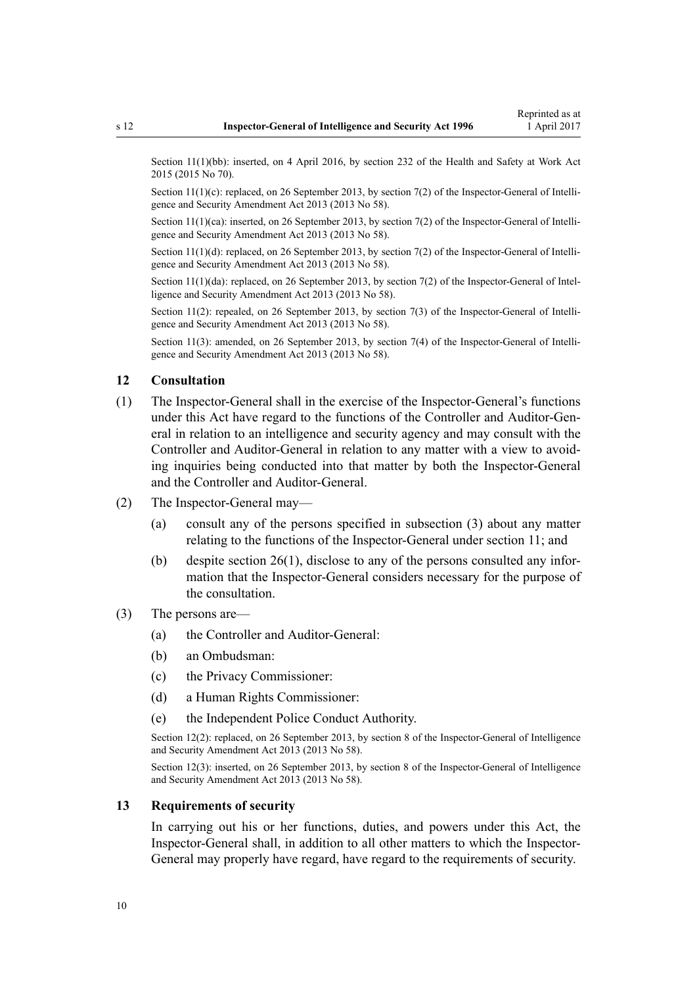<span id="page-9-0"></span>Section 11(1)(bb): inserted, on 4 April 2016, by [section 232](http://prd-lgnz-nlb.prd.pco.net.nz/pdflink.aspx?id=DLM5977236) of the Health and Safety at Work Act 2015 (2015 No 70).

Section  $11(1)(c)$ : replaced, on 26 September 2013, by [section 7\(2\)](http://prd-lgnz-nlb.prd.pco.net.nz/pdflink.aspx?id=DLM5495920) of the Inspector-General of Intelligence and Security Amendment Act 2013 (2013 No 58).

Section 11(1)(ca): inserted, on 26 September 2013, by [section 7\(2\)](http://prd-lgnz-nlb.prd.pco.net.nz/pdflink.aspx?id=DLM5495920) of the Inspector-General of Intelligence and Security Amendment Act 2013 (2013 No 58).

Section 11(1)(d): replaced, on 26 September 2013, by [section 7\(2\)](http://prd-lgnz-nlb.prd.pco.net.nz/pdflink.aspx?id=DLM5495920) of the Inspector-General of Intelligence and Security Amendment Act 2013 (2013 No 58).

Section 11(1)(da): replaced, on 26 September 2013, by [section 7\(2\)](http://prd-lgnz-nlb.prd.pco.net.nz/pdflink.aspx?id=DLM5495920) of the Inspector-General of Intelligence and Security Amendment Act 2013 (2013 No 58).

Section 11(2): repealed, on 26 September 2013, by [section 7\(3\)](http://prd-lgnz-nlb.prd.pco.net.nz/pdflink.aspx?id=DLM5495920) of the Inspector-General of Intelligence and Security Amendment Act 2013 (2013 No 58).

Section 11(3): amended, on 26 September 2013, by [section 7\(4\)](http://prd-lgnz-nlb.prd.pco.net.nz/pdflink.aspx?id=DLM5495920) of the Inspector-General of Intelligence and Security Amendment Act 2013 (2013 No 58).

## **12 Consultation**

- (1) The Inspector-General shall in the exercise of the Inspector-General's functions under this Act have regard to the functions of the Controller and Auditor-General in relation to an intelligence and security agency and may consult with the Controller and Auditor-General in relation to any matter with a view to avoiding inquiries being conducted into that matter by both the Inspector-General and the Controller and Auditor-General.
- (2) The Inspector-General may—
	- (a) consult any of the persons specified in subsection (3) about any matter relating to the functions of the Inspector-General under [section 11](#page-7-0); and
	- (b) despite [section 26\(1\),](#page-18-0) disclose to any of the persons consulted any information that the Inspector-General considers necessary for the purpose of the consultation.
- (3) The persons are—
	- (a) the Controller and Auditor-General:
	- (b) an Ombudsman:
	- (c) the Privacy Commissioner:
	- (d) a Human Rights Commissioner:
	- (e) the Independent Police Conduct Authority.

Section 12(2): replaced, on 26 September 2013, by [section 8](http://prd-lgnz-nlb.prd.pco.net.nz/pdflink.aspx?id=DLM5495921) of the Inspector-General of Intelligence and Security Amendment Act 2013 (2013 No 58).

Section 12(3): inserted, on 26 September 2013, by [section 8](http://prd-lgnz-nlb.prd.pco.net.nz/pdflink.aspx?id=DLM5495921) of the Inspector-General of Intelligence and Security Amendment Act 2013 (2013 No 58).

#### **13 Requirements of security**

In carrying out his or her functions, duties, and powers under this Act, the Inspector-General shall, in addition to all other matters to which the Inspector-General may properly have regard, have regard to the requirements of security.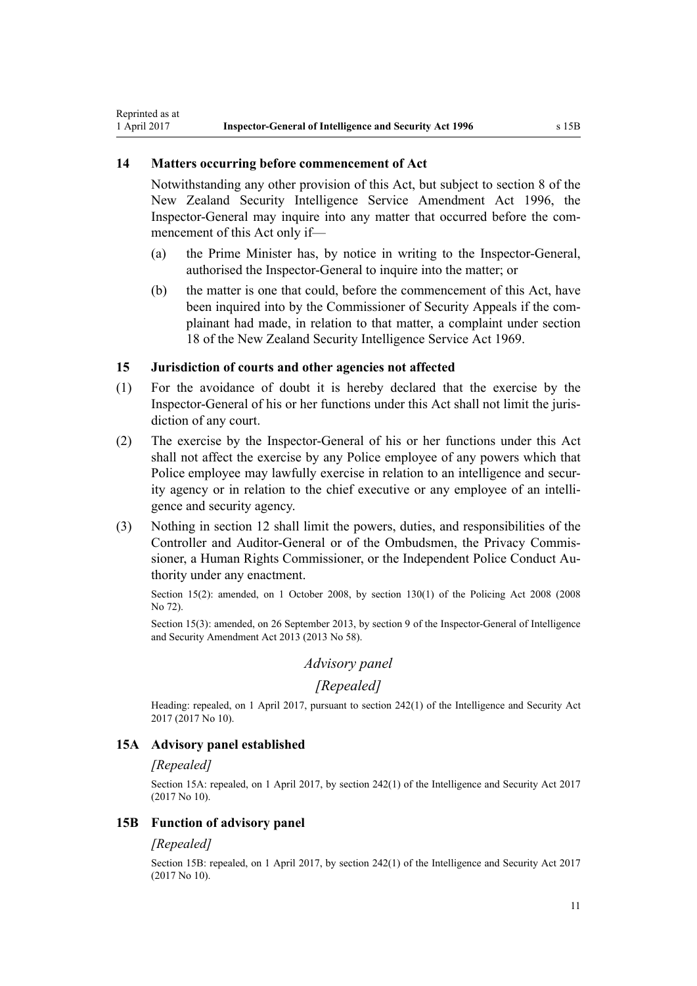## <span id="page-10-0"></span>**14 Matters occurring before commencement of Act**

Notwithstanding any other provision of this Act, but subject to [section 8](http://prd-lgnz-nlb.prd.pco.net.nz/pdflink.aspx?id=DLM392574) of the New Zealand Security Intelligence Service Amendment Act 1996, the Inspector-General may inquire into any matter that occurred before the commencement of this Act only if—

- (a) the Prime Minister has, by notice in writing to the Inspector-General, authorised the Inspector-General to inquire into the matter; or
- (b) the matter is one that could, before the commencement of this Act, have been inquired into by the Commissioner of Security Appeals if the complainant had made, in relation to that matter, a complaint under [section](http://prd-lgnz-nlb.prd.pco.net.nz/pdflink.aspx?id=DLM392033) [18](http://prd-lgnz-nlb.prd.pco.net.nz/pdflink.aspx?id=DLM392033) of the New Zealand Security Intelligence Service Act 1969.

## **15 Jurisdiction of courts and other agencies not affected**

- (1) For the avoidance of doubt it is hereby declared that the exercise by the Inspector-General of his or her functions under this Act shall not limit the jurisdiction of any court.
- (2) The exercise by the Inspector-General of his or her functions under this Act shall not affect the exercise by any Police employee of any powers which that Police employee may lawfully exercise in relation to an intelligence and security agency or in relation to the chief executive or any employee of an intelligence and security agency.
- (3) Nothing in [section 12](#page-9-0) shall limit the powers, duties, and responsibilities of the Controller and Auditor-General or of the Ombudsmen, the Privacy Commissioner, a Human Rights Commissioner, or the Independent Police Conduct Authority under any enactment.

Section 15(2): amended, on 1 October 2008, by [section 130\(1\)](http://prd-lgnz-nlb.prd.pco.net.nz/pdflink.aspx?id=DLM1102383) of the Policing Act 2008 (2008 No 72).

Section 15(3): amended, on 26 September 2013, by [section 9](http://prd-lgnz-nlb.prd.pco.net.nz/pdflink.aspx?id=DLM5495922) of the Inspector-General of Intelligence and Security Amendment Act 2013 (2013 No 58).

## *Advisory panel*

# *[Repealed]*

Heading: repealed, on 1 April 2017, pursuant to [section 242\(1\)](http://prd-lgnz-nlb.prd.pco.net.nz/pdflink.aspx?id=DLM6921292) of the Intelligence and Security Act 2017 (2017 No 10).

## **15A Advisory panel established**

## *[Repealed]*

Section 15A: repealed, on 1 April 2017, by [section 242\(1\)](http://prd-lgnz-nlb.prd.pco.net.nz/pdflink.aspx?id=DLM6921292) of the Intelligence and Security Act 2017 (2017 No 10).

#### **15B Function of advisory panel**

#### *[Repealed]*

Section 15B: repealed, on 1 April 2017, by [section 242\(1\)](http://prd-lgnz-nlb.prd.pco.net.nz/pdflink.aspx?id=DLM6921292) of the Intelligence and Security Act 2017 (2017 No 10).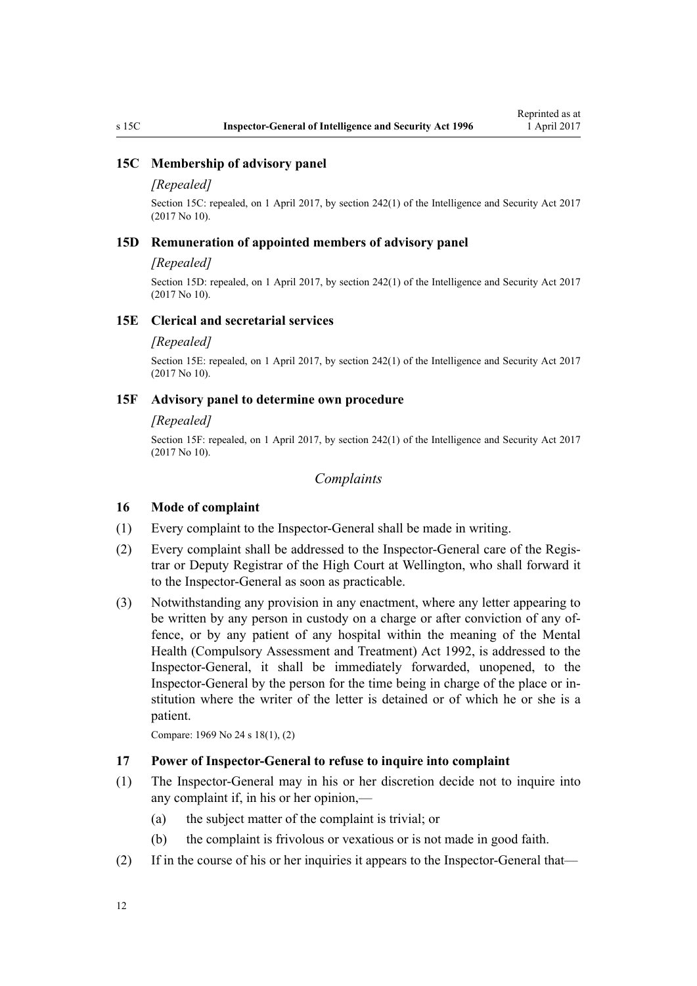#### <span id="page-11-0"></span>**15C Membership of advisory panel**

#### *[Repealed]*

Section 15C: repealed, on 1 April 2017, by [section 242\(1\)](http://prd-lgnz-nlb.prd.pco.net.nz/pdflink.aspx?id=DLM6921292) of the Intelligence and Security Act 2017 (2017 No 10).

#### **15D Remuneration of appointed members of advisory panel**

#### *[Repealed]*

Section 15D: repealed, on 1 April 2017, by [section 242\(1\)](http://prd-lgnz-nlb.prd.pco.net.nz/pdflink.aspx?id=DLM6921292) of the Intelligence and Security Act 2017 (2017 No 10).

## **15E Clerical and secretarial services**

#### *[Repealed]*

Section 15E: repealed, on 1 April 2017, by [section 242\(1\)](http://prd-lgnz-nlb.prd.pco.net.nz/pdflink.aspx?id=DLM6921292) of the Intelligence and Security Act 2017 (2017 No 10).

#### **15F Advisory panel to determine own procedure**

#### *[Repealed]*

Section 15F: repealed, on 1 April 2017, by [section 242\(1\)](http://prd-lgnz-nlb.prd.pco.net.nz/pdflink.aspx?id=DLM6921292) of the Intelligence and Security Act 2017 (2017 No 10).

## *Complaints*

## **16 Mode of complaint**

- (1) Every complaint to the Inspector-General shall be made in writing.
- (2) Every complaint shall be addressed to the Inspector-General care of the Registrar or Deputy Registrar of the High Court at Wellington, who shall forward it to the Inspector-General as soon as practicable.
- (3) Notwithstanding any provision in any enactment, where any letter appearing to be written by any person in custody on a charge or after conviction of any offence, or by any patient of any hospital within the meaning of the [Mental](http://prd-lgnz-nlb.prd.pco.net.nz/pdflink.aspx?id=DLM262706) [Health \(Compulsory Assessment and Treatment\) Act 1992](http://prd-lgnz-nlb.prd.pco.net.nz/pdflink.aspx?id=DLM262706), is addressed to the Inspector-General, it shall be immediately forwarded, unopened, to the Inspector-General by the person for the time being in charge of the place or institution where the writer of the letter is detained or of which he or she is a patient.

Compare: 1969 No 24 [s 18\(1\), \(2\)](http://prd-lgnz-nlb.prd.pco.net.nz/pdflink.aspx?id=DLM392033)

## **17 Power of Inspector-General to refuse to inquire into complaint**

- (1) The Inspector-General may in his or her discretion decide not to inquire into any complaint if, in his or her opinion,—
	- (a) the subject matter of the complaint is trivial; or
	- (b) the complaint is frivolous or vexatious or is not made in good faith.
- (2) If in the course of his or her inquiries it appears to the Inspector-General that—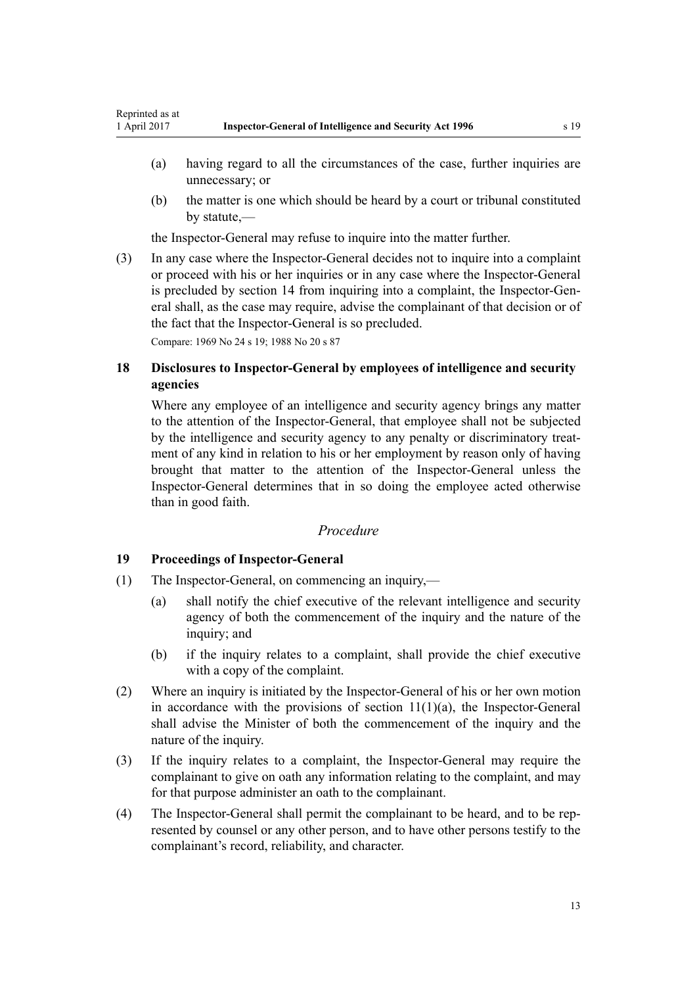- <span id="page-12-0"></span>(a) having regard to all the circumstances of the case, further inquiries are unnecessary; or
- (b) the matter is one which should be heard by a court or tribunal constituted by statute,—

the Inspector-General may refuse to inquire into the matter further.

(3) In any case where the Inspector-General decides not to inquire into a complaint or proceed with his or her inquiries or in any case where the Inspector-General is precluded by [section 14](#page-10-0) from inquiring into a complaint, the Inspector-General shall, as the case may require, advise the complainant of that decision or of the fact that the Inspector-General is so precluded.

Compare: 1969 No 24 [s 19](http://prd-lgnz-nlb.prd.pco.net.nz/pdflink.aspx?id=DLM392036); 1988 No 20 [s 87](http://prd-lgnz-nlb.prd.pco.net.nz/pdflink.aspx?id=DLM130374)

# **18 Disclosures to Inspector-General by employees of intelligence and security agencies**

Where any employee of an intelligence and security agency brings any matter to the attention of the Inspector-General, that employee shall not be subjected by the intelligence and security agency to any penalty or discriminatory treatment of any kind in relation to his or her employment by reason only of having brought that matter to the attention of the Inspector-General unless the Inspector-General determines that in so doing the employee acted otherwise than in good faith.

## *Procedure*

## **19 Proceedings of Inspector-General**

- (1) The Inspector-General, on commencing an inquiry,—
	- (a) shall notify the chief executive of the relevant intelligence and security agency of both the commencement of the inquiry and the nature of the inquiry; and
	- (b) if the inquiry relates to a complaint, shall provide the chief executive with a copy of the complaint.
- (2) Where an inquiry is initiated by the Inspector-General of his or her own motion in accordance with the provisions of section  $11(1)(a)$ , the Inspector-General shall advise the Minister of both the commencement of the inquiry and the nature of the inquiry.
- (3) If the inquiry relates to a complaint, the Inspector-General may require the complainant to give on oath any information relating to the complaint, and may for that purpose administer an oath to the complainant.
- (4) The Inspector-General shall permit the complainant to be heard, and to be represented by counsel or any other person, and to have other persons testify to the complainant's record, reliability, and character.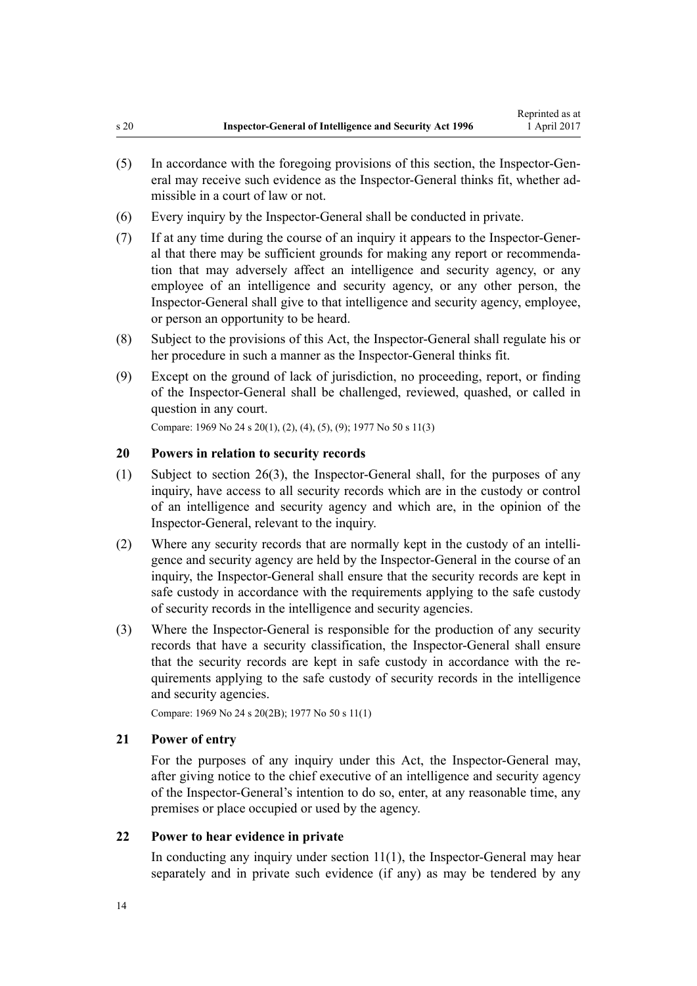- <span id="page-13-0"></span>(5) In accordance with the foregoing provisions of this section, the Inspector-General may receive such evidence as the Inspector-General thinks fit, whether admissible in a court of law or not.
- (6) Every inquiry by the Inspector-General shall be conducted in private.
- (7) If at any time during the course of an inquiry it appears to the Inspector-General that there may be sufficient grounds for making any report or recommendation that may adversely affect an intelligence and security agency, or any employee of an intelligence and security agency, or any other person, the Inspector-General shall give to that intelligence and security agency, employee, or person an opportunity to be heard.
- (8) Subject to the provisions of this Act, the Inspector-General shall regulate his or her procedure in such a manner as the Inspector-General thinks fit.
- (9) Except on the ground of lack of jurisdiction, no proceeding, report, or finding of the Inspector-General shall be challenged, reviewed, quashed, or called in question in any court.

Compare: 1969 No 24 [s 20\(1\), \(2\), \(4\), \(5\), \(9\);](http://prd-lgnz-nlb.prd.pco.net.nz/pdflink.aspx?id=DLM392040) 1977 No 50 s 11(3)

## **20 Powers in relation to security records**

- (1) Subject to [section 26\(3\),](#page-18-0) the Inspector-General shall, for the purposes of any inquiry, have access to all security records which are in the custody or control of an intelligence and security agency and which are, in the opinion of the Inspector-General, relevant to the inquiry.
- (2) Where any security records that are normally kept in the custody of an intelligence and security agency are held by the Inspector-General in the course of an inquiry, the Inspector-General shall ensure that the security records are kept in safe custody in accordance with the requirements applying to the safe custody of security records in the intelligence and security agencies.
- (3) Where the Inspector-General is responsible for the production of any security records that have a security classification, the Inspector-General shall ensure that the security records are kept in safe custody in accordance with the requirements applying to the safe custody of security records in the intelligence and security agencies.

Compare: 1969 No 24 [s 20\(2B\);](http://prd-lgnz-nlb.prd.pco.net.nz/pdflink.aspx?id=DLM392040) 1977 No 50 s 11(1)

# **21 Power of entry**

For the purposes of any inquiry under this Act, the Inspector-General may, after giving notice to the chief executive of an intelligence and security agency of the Inspector-General's intention to do so, enter, at any reasonable time, any premises or place occupied or used by the agency.

## **22 Power to hear evidence in private**

In conducting any inquiry under [section 11\(1\)](#page-7-0), the Inspector-General may hear separately and in private such evidence (if any) as may be tendered by any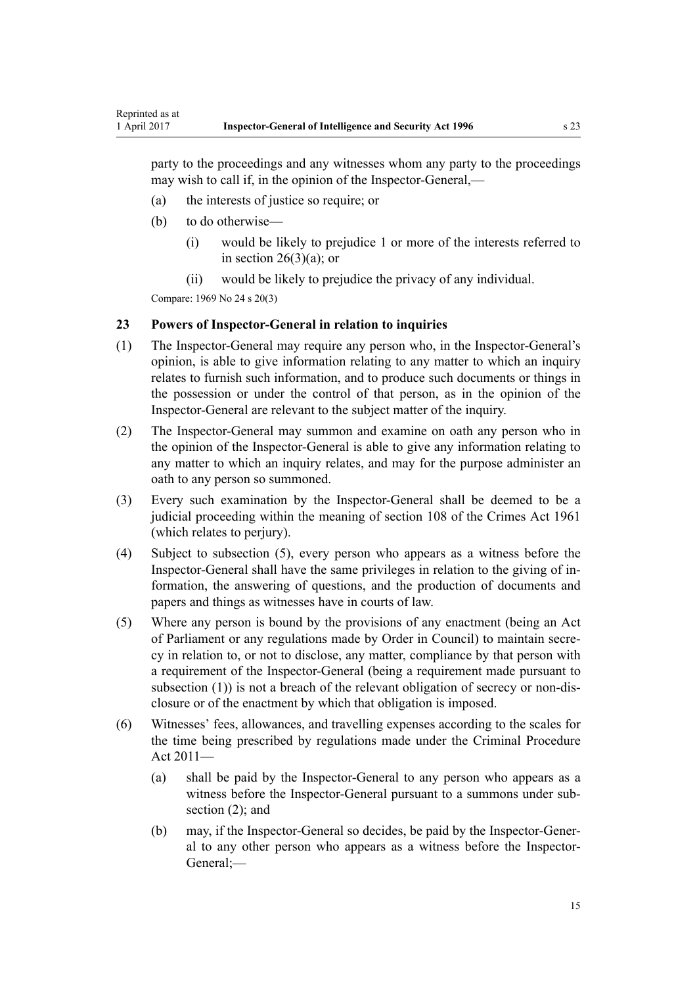party to the proceedings and any witnesses whom any party to the proceedings may wish to call if, in the opinion of the Inspector-General,—

- (a) the interests of justice so require; or
- (b) to do otherwise—

<span id="page-14-0"></span>Reprinted as at

- (i) would be likely to prejudice 1 or more of the interests referred to in section  $26(3)(a)$ ; or
- (ii) would be likely to prejudice the privacy of any individual.

Compare: 1969 No 24 [s 20\(3\)](http://prd-lgnz-nlb.prd.pco.net.nz/pdflink.aspx?id=DLM392040)

## **23 Powers of Inspector-General in relation to inquiries**

- (1) The Inspector-General may require any person who, in the Inspector-General's opinion, is able to give information relating to any matter to which an inquiry relates to furnish such information, and to produce such documents or things in the possession or under the control of that person, as in the opinion of the Inspector-General are relevant to the subject matter of the inquiry.
- (2) The Inspector-General may summon and examine on oath any person who in the opinion of the Inspector-General is able to give any information relating to any matter to which an inquiry relates, and may for the purpose administer an oath to any person so summoned.
- (3) Every such examination by the Inspector-General shall be deemed to be a judicial proceeding within the meaning of [section 108](http://prd-lgnz-nlb.prd.pco.net.nz/pdflink.aspx?id=DLM328793) of the Crimes Act 1961 (which relates to perjury).
- (4) Subject to subsection (5), every person who appears as a witness before the Inspector-General shall have the same privileges in relation to the giving of information, the answering of questions, and the production of documents and papers and things as witnesses have in courts of law.
- (5) Where any person is bound by the provisions of any enactment (being an Act of Parliament or any regulations made by Order in Council) to maintain secrecy in relation to, or not to disclose, any matter, compliance by that person with a requirement of the Inspector-General (being a requirement made pursuant to subsection (1)) is not a breach of the relevant obligation of secrecy or non-disclosure or of the enactment by which that obligation is imposed.
- (6) Witnesses' fees, allowances, and travelling expenses according to the scales for the time being prescribed by regulations made under the [Criminal Procedure](http://prd-lgnz-nlb.prd.pco.net.nz/pdflink.aspx?id=DLM3359902) [Act 2011](http://prd-lgnz-nlb.prd.pco.net.nz/pdflink.aspx?id=DLM3359902)—
	- (a) shall be paid by the Inspector-General to any person who appears as a witness before the Inspector-General pursuant to a summons under subsection  $(2)$ ; and
	- (b) may, if the Inspector-General so decides, be paid by the Inspector-General to any other person who appears as a witness before the Inspector-General;—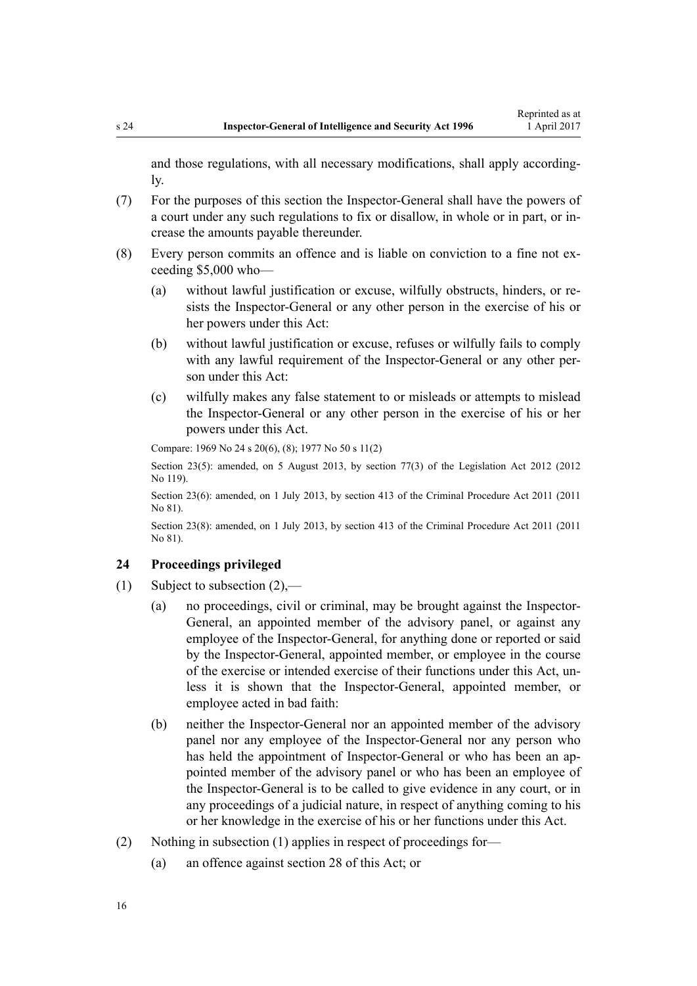<span id="page-15-0"></span>and those regulations, with all necessary modifications, shall apply accordingly.

- (7) For the purposes of this section the Inspector-General shall have the powers of a court under any such regulations to fix or disallow, in whole or in part, or increase the amounts payable thereunder.
- (8) Every person commits an offence and is liable on conviction to a fine not exceeding \$5,000 who—
	- (a) without lawful justification or excuse, wilfully obstructs, hinders, or resists the Inspector-General or any other person in the exercise of his or her powers under this Act:
	- (b) without lawful justification or excuse, refuses or wilfully fails to comply with any lawful requirement of the Inspector-General or any other person under this Act:
	- (c) wilfully makes any false statement to or misleads or attempts to mislead the Inspector-General or any other person in the exercise of his or her powers under this Act.

Compare: 1969 No 24 [s 20\(6\), \(8\);](http://prd-lgnz-nlb.prd.pco.net.nz/pdflink.aspx?id=DLM392040) 1977 No 50 s 11(2)

Section 23(5): amended, on 5 August 2013, by [section 77\(3\)](http://prd-lgnz-nlb.prd.pco.net.nz/pdflink.aspx?id=DLM2998633) of the Legislation Act 2012 (2012 No 119).

Section 23(6): amended, on 1 July 2013, by [section 413](http://prd-lgnz-nlb.prd.pco.net.nz/pdflink.aspx?id=DLM3360714) of the Criminal Procedure Act 2011 (2011) No 81).

Section 23(8): amended, on 1 July 2013, by [section 413](http://prd-lgnz-nlb.prd.pco.net.nz/pdflink.aspx?id=DLM3360714) of the Criminal Procedure Act 2011 (2011 No 81).

## **24 Proceedings privileged**

- (1) Subject to subsection (2),—
	- (a) no proceedings, civil or criminal, may be brought against the Inspector-General, an appointed member of the advisory panel, or against any employee of the Inspector-General, for anything done or reported or said by the Inspector-General, appointed member, or employee in the course of the exercise or intended exercise of their functions under this Act, unless it is shown that the Inspector-General, appointed member, or employee acted in bad faith:
	- (b) neither the Inspector-General nor an appointed member of the advisory panel nor any employee of the Inspector-General nor any person who has held the appointment of Inspector-General or who has been an appointed member of the advisory panel or who has been an employee of the Inspector-General is to be called to give evidence in any court, or in any proceedings of a judicial nature, in respect of anything coming to his or her knowledge in the exercise of his or her functions under this Act.
- (2) Nothing in subsection (1) applies in respect of proceedings for—
	- (a) an offence against [section 28](#page-20-0) of this Act; or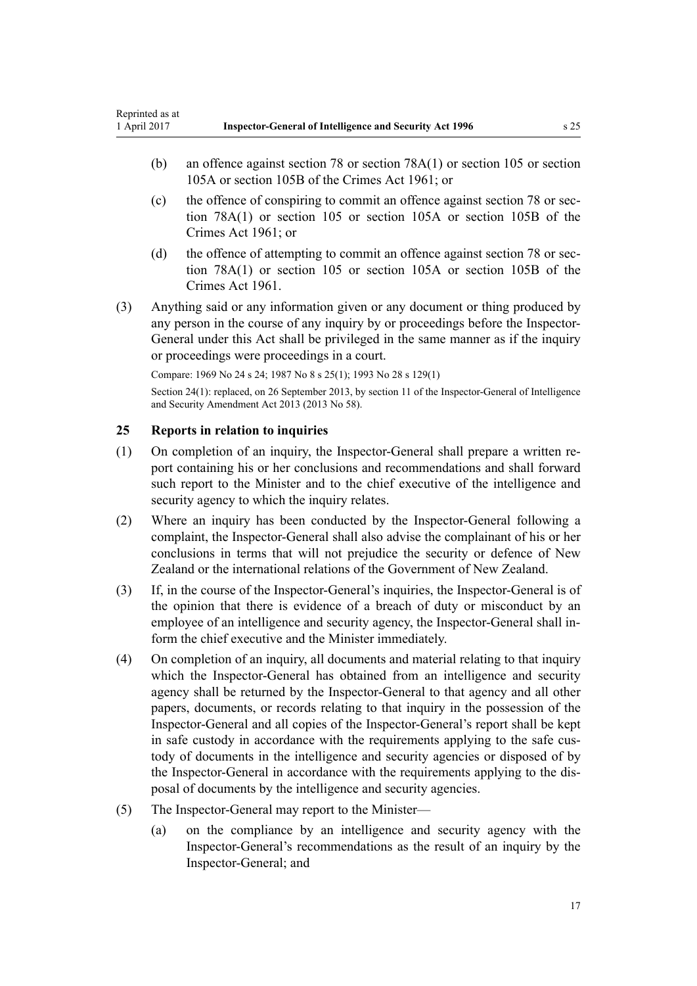- <span id="page-16-0"></span>(b) an offence against [section 78](http://prd-lgnz-nlb.prd.pco.net.nz/pdflink.aspx?id=DLM328526) or [section 78A\(1\)](http://prd-lgnz-nlb.prd.pco.net.nz/pdflink.aspx?id=DLM328528) or [section 105](http://prd-lgnz-nlb.prd.pco.net.nz/pdflink.aspx?id=DLM328753) or [section](http://prd-lgnz-nlb.prd.pco.net.nz/pdflink.aspx?id=DLM328755) [105A](http://prd-lgnz-nlb.prd.pco.net.nz/pdflink.aspx?id=DLM328755) or [section 105B](http://prd-lgnz-nlb.prd.pco.net.nz/pdflink.aspx?id=DLM328758) of the Crimes Act 1961; or
- (c) the offence of conspiring to commit an offence against [section 78](http://prd-lgnz-nlb.prd.pco.net.nz/pdflink.aspx?id=DLM328526) or [sec](http://prd-lgnz-nlb.prd.pco.net.nz/pdflink.aspx?id=DLM328528)[tion 78A\(1\)](http://prd-lgnz-nlb.prd.pco.net.nz/pdflink.aspx?id=DLM328528) or [section 105](http://prd-lgnz-nlb.prd.pco.net.nz/pdflink.aspx?id=DLM328753) or [section 105A](http://prd-lgnz-nlb.prd.pco.net.nz/pdflink.aspx?id=DLM328755) or [section 105B](http://prd-lgnz-nlb.prd.pco.net.nz/pdflink.aspx?id=DLM328758) of the Crimes Act 1961; or
- (d) the offence of attempting to commit an offence against [section 78](http://prd-lgnz-nlb.prd.pco.net.nz/pdflink.aspx?id=DLM328526) or [sec](http://prd-lgnz-nlb.prd.pco.net.nz/pdflink.aspx?id=DLM328528)[tion 78A\(1\)](http://prd-lgnz-nlb.prd.pco.net.nz/pdflink.aspx?id=DLM328528) or [section 105](http://prd-lgnz-nlb.prd.pco.net.nz/pdflink.aspx?id=DLM328753) or [section 105A](http://prd-lgnz-nlb.prd.pco.net.nz/pdflink.aspx?id=DLM328755) or [section 105B](http://prd-lgnz-nlb.prd.pco.net.nz/pdflink.aspx?id=DLM328758) of the Crimes Act 1961.
- (3) Anything said or any information given or any document or thing produced by any person in the course of any inquiry by or proceedings before the Inspector-General under this Act shall be privileged in the same manner as if the inquiry or proceedings were proceedings in a court.

Compare: 1969 No 24 [s 24](http://prd-lgnz-nlb.prd.pco.net.nz/pdflink.aspx?id=DLM392056); 1987 No 8 [s 25\(1\);](http://prd-lgnz-nlb.prd.pco.net.nz/pdflink.aspx?id=DLM101353) 1993 No 28 [s 129\(1\)](http://prd-lgnz-nlb.prd.pco.net.nz/pdflink.aspx?id=DLM298439)

Section 24(1): replaced, on 26 September 2013, by [section 11](http://prd-lgnz-nlb.prd.pco.net.nz/pdflink.aspx?id=DLM5495932) of the Inspector-General of Intelligence and Security Amendment Act 2013 (2013 No 58).

## **25 Reports in relation to inquiries**

- (1) On completion of an inquiry, the Inspector-General shall prepare a written report containing his or her conclusions and recommendations and shall forward such report to the Minister and to the chief executive of the intelligence and security agency to which the inquiry relates.
- (2) Where an inquiry has been conducted by the Inspector-General following a complaint, the Inspector-General shall also advise the complainant of his or her conclusions in terms that will not prejudice the security or defence of New Zealand or the international relations of the Government of New Zealand.
- (3) If, in the course of the Inspector-General's inquiries, the Inspector-General is of the opinion that there is evidence of a breach of duty or misconduct by an employee of an intelligence and security agency, the Inspector-General shall inform the chief executive and the Minister immediately.
- (4) On completion of an inquiry, all documents and material relating to that inquiry which the Inspector-General has obtained from an intelligence and security agency shall be returned by the Inspector-General to that agency and all other papers, documents, or records relating to that inquiry in the possession of the Inspector-General and all copies of the Inspector-General's report shall be kept in safe custody in accordance with the requirements applying to the safe custody of documents in the intelligence and security agencies or disposed of by the Inspector-General in accordance with the requirements applying to the disposal of documents by the intelligence and security agencies.
- (5) The Inspector-General may report to the Minister—
	- (a) on the compliance by an intelligence and security agency with the Inspector-General's recommendations as the result of an inquiry by the Inspector-General; and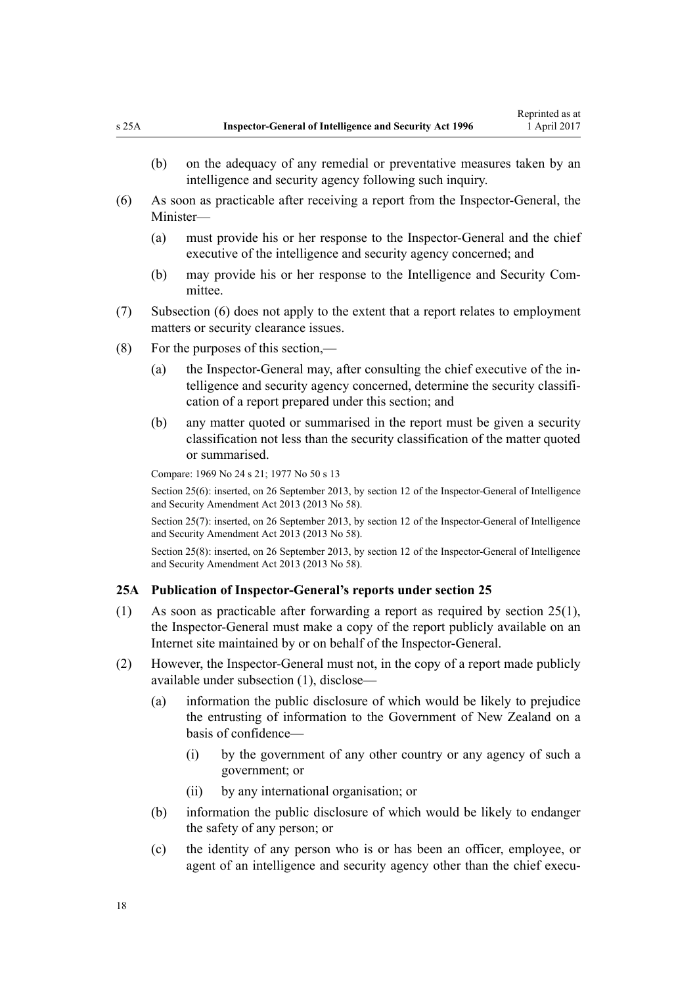- <span id="page-17-0"></span>(b) on the adequacy of any remedial or preventative measures taken by an intelligence and security agency following such inquiry.
- (6) As soon as practicable after receiving a report from the Inspector-General, the Minister—
	- (a) must provide his or her response to the Inspector-General and the chief executive of the intelligence and security agency concerned; and
	- (b) may provide his or her response to the Intelligence and Security Committee.
- (7) Subsection (6) does not apply to the extent that a report relates to employment matters or security clearance issues.
- (8) For the purposes of this section,—
	- (a) the Inspector-General may, after consulting the chief executive of the intelligence and security agency concerned, determine the security classification of a report prepared under this section; and
	- (b) any matter quoted or summarised in the report must be given a security classification not less than the security classification of the matter quoted or summarised.

Compare: 1969 No 24 [s 21](http://prd-lgnz-nlb.prd.pco.net.nz/pdflink.aspx?id=DLM392048); 1977 No 50 s 13

Section 25(6): inserted, on 26 September 2013, by [section 12](http://prd-lgnz-nlb.prd.pco.net.nz/pdflink.aspx?id=DLM5495933) of the Inspector-General of Intelligence and Security Amendment Act 2013 (2013 No 58).

Section 25(7): inserted, on 26 September 2013, by [section 12](http://prd-lgnz-nlb.prd.pco.net.nz/pdflink.aspx?id=DLM5495933) of the Inspector-General of Intelligence and Security Amendment Act 2013 (2013 No 58).

Section 25(8): inserted, on 26 September 2013, by [section 12](http://prd-lgnz-nlb.prd.pco.net.nz/pdflink.aspx?id=DLM5495933) of the Inspector-General of Intelligence and Security Amendment Act 2013 (2013 No 58).

## **25A Publication of Inspector-General's reports under section 25**

- (1) As soon as practicable after forwarding a report as required by [section 25\(1\)](#page-16-0), the Inspector-General must make a copy of the report publicly available on an Internet site maintained by or on behalf of the Inspector-General.
- (2) However, the Inspector-General must not, in the copy of a report made publicly available under subsection (1), disclose—
	- (a) information the public disclosure of which would be likely to prejudice the entrusting of information to the Government of New Zealand on a basis of confidence—
		- (i) by the government of any other country or any agency of such a government; or
		- (ii) by any international organisation; or
	- (b) information the public disclosure of which would be likely to endanger the safety of any person; or
	- (c) the identity of any person who is or has been an officer, employee, or agent of an intelligence and security agency other than the chief execu-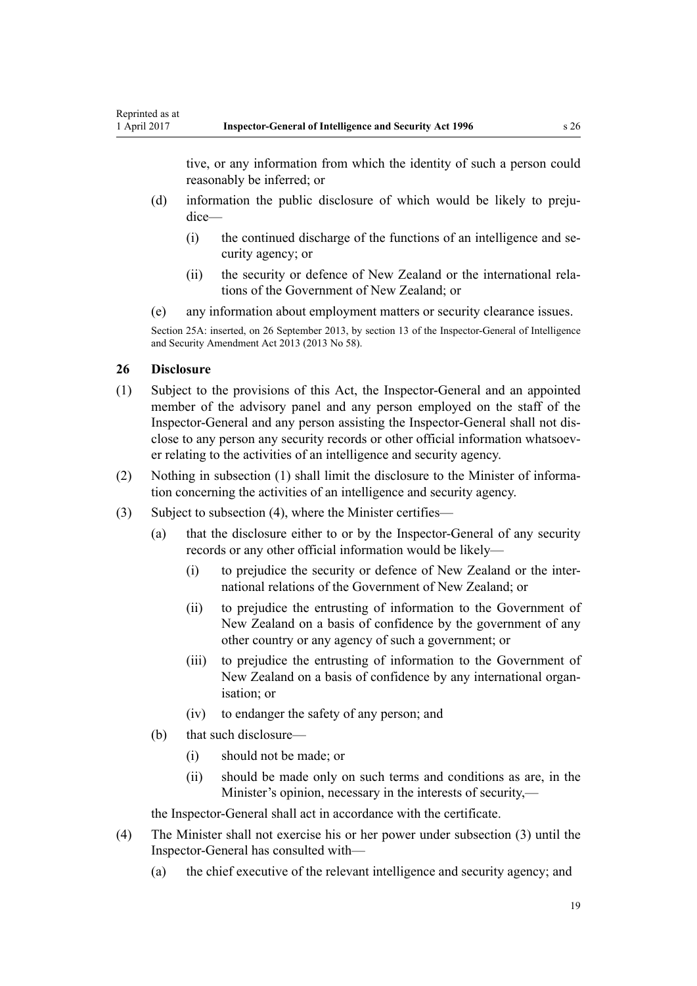<span id="page-18-0"></span>tive, or any information from which the identity of such a person could reasonably be inferred; or

- (d) information the public disclosure of which would be likely to prejudice—
	- (i) the continued discharge of the functions of an intelligence and security agency; or
	- (ii) the security or defence of New Zealand or the international relations of the Government of New Zealand; or
- (e) any information about employment matters or security clearance issues.

Section 25A: inserted, on 26 September 2013, by [section 13](http://prd-lgnz-nlb.prd.pco.net.nz/pdflink.aspx?id=DLM5495934) of the Inspector-General of Intelligence and Security Amendment Act 2013 (2013 No 58).

## **26 Disclosure**

- (1) Subject to the provisions of this Act, the Inspector-General and an appointed member of the advisory panel and any person employed on the staff of the Inspector-General and any person assisting the Inspector-General shall not disclose to any person any security records or other official information whatsoever relating to the activities of an intelligence and security agency.
- (2) Nothing in subsection (1) shall limit the disclosure to the Minister of information concerning the activities of an intelligence and security agency.
- (3) Subject to subsection (4), where the Minister certifies—
	- (a) that the disclosure either to or by the Inspector-General of any security records or any other official information would be likely—
		- (i) to prejudice the security or defence of New Zealand or the international relations of the Government of New Zealand; or
		- (ii) to prejudice the entrusting of information to the Government of New Zealand on a basis of confidence by the government of any other country or any agency of such a government; or
		- (iii) to prejudice the entrusting of information to the Government of New Zealand on a basis of confidence by any international organisation; or
		- (iv) to endanger the safety of any person; and
	- (b) that such disclosure—
		- (i) should not be made; or
		- (ii) should be made only on such terms and conditions as are, in the Minister's opinion, necessary in the interests of security,—

the Inspector-General shall act in accordance with the certificate.

- (4) The Minister shall not exercise his or her power under subsection (3) until the Inspector-General has consulted with—
	- (a) the chief executive of the relevant intelligence and security agency; and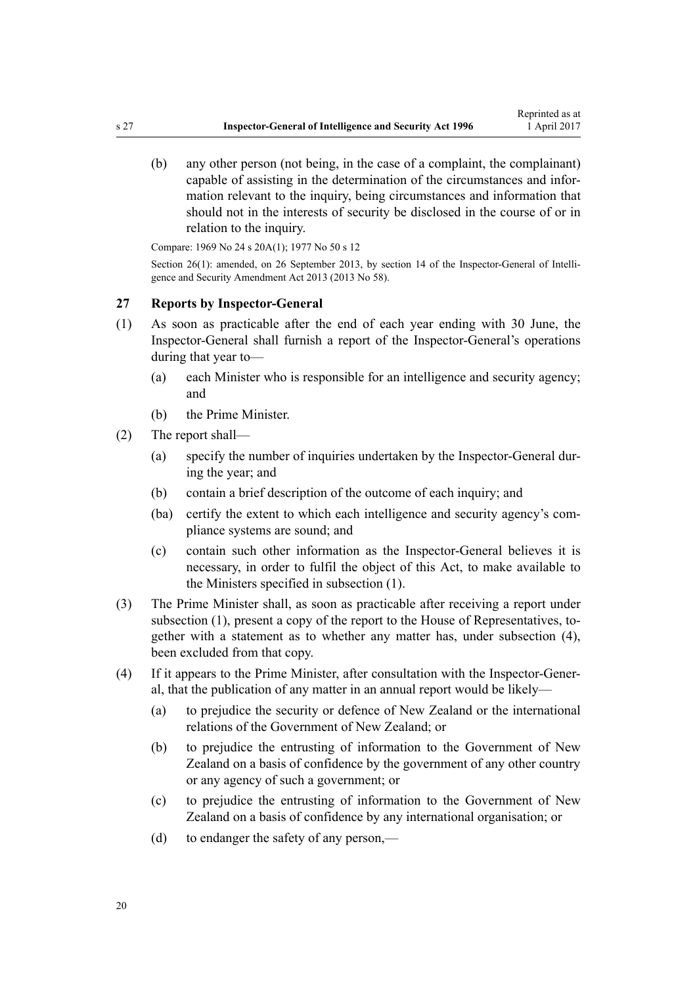<span id="page-19-0"></span>(b) any other person (not being, in the case of a complaint, the complainant) capable of assisting in the determination of the circumstances and information relevant to the inquiry, being circumstances and information that should not in the interests of security be disclosed in the course of or in relation to the inquiry.

Compare: 1969 No 24 [s 20A\(1\)](http://prd-lgnz-nlb.prd.pco.net.nz/pdflink.aspx?id=DLM392045); 1977 No 50 s 12

Section 26(1): amended, on 26 September 2013, by [section 14](http://prd-lgnz-nlb.prd.pco.net.nz/pdflink.aspx?id=DLM5495936) of the Inspector-General of Intelligence and Security Amendment Act 2013 (2013 No 58).

## **27 Reports by Inspector-General**

- (1) As soon as practicable after the end of each year ending with 30 June, the Inspector-General shall furnish a report of the Inspector-General's operations during that year to—
	- (a) each Minister who is responsible for an intelligence and security agency; and
	- (b) the Prime Minister.
- (2) The report shall—
	- (a) specify the number of inquiries undertaken by the Inspector-General during the year; and
	- (b) contain a brief description of the outcome of each inquiry; and
	- (ba) certify the extent to which each intelligence and security agency's compliance systems are sound; and
	- (c) contain such other information as the Inspector-General believes it is necessary, in order to fulfil the object of this Act, to make available to the Ministers specified in subsection (1).
- (3) The Prime Minister shall, as soon as practicable after receiving a report under subsection (1), present a copy of the report to the House of Representatives, together with a statement as to whether any matter has, under subsection (4), been excluded from that copy.
- (4) If it appears to the Prime Minister, after consultation with the Inspector-General, that the publication of any matter in an annual report would be likely—
	- (a) to prejudice the security or defence of New Zealand or the international relations of the Government of New Zealand; or
	- (b) to prejudice the entrusting of information to the Government of New Zealand on a basis of confidence by the government of any other country or any agency of such a government; or
	- (c) to prejudice the entrusting of information to the Government of New Zealand on a basis of confidence by any international organisation; or
	- (d) to endanger the safety of any person,—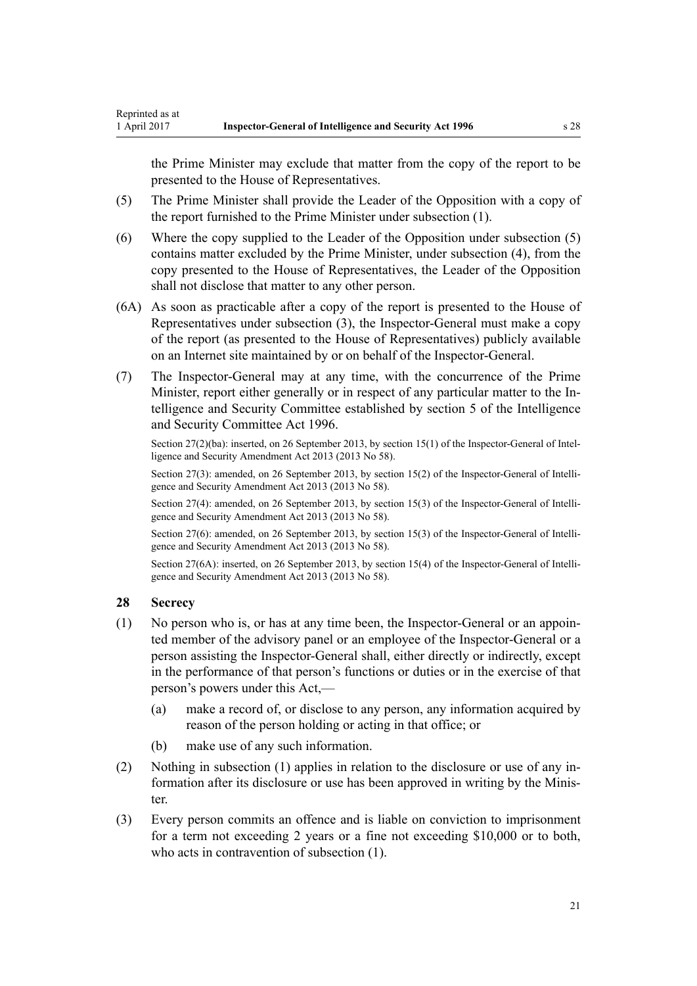the Prime Minister may exclude that matter from the copy of the report to be

- <span id="page-20-0"></span>presented to the House of Representatives. (5) The Prime Minister shall provide the Leader of the Opposition with a copy of
- (6) Where the copy supplied to the Leader of the Opposition under subsection (5) contains matter excluded by the Prime Minister, under subsection (4), from the copy presented to the House of Representatives, the Leader of the Opposition shall not disclose that matter to any other person.

the report furnished to the Prime Minister under subsection (1).

- (6A) As soon as practicable after a copy of the report is presented to the House of Representatives under subsection (3), the Inspector-General must make a copy of the report (as presented to the House of Representatives) publicly available on an Internet site maintained by or on behalf of the Inspector-General.
- (7) The Inspector-General may at any time, with the concurrence of the Prime Minister, report either generally or in respect of any particular matter to the Intelligence and Security Committee established by [section 5](http://prd-lgnz-nlb.prd.pco.net.nz/pdflink.aspx?id=DLM392266) of the Intelligence and Security Committee Act 1996.

Section 27(2)(ba): inserted, on 26 September 2013, by [section 15\(1\)](http://prd-lgnz-nlb.prd.pco.net.nz/pdflink.aspx?id=DLM5495937) of the Inspector-General of Intelligence and Security Amendment Act 2013 (2013 No 58).

Section 27(3): amended, on 26 September 2013, by [section 15\(2\)](http://prd-lgnz-nlb.prd.pco.net.nz/pdflink.aspx?id=DLM5495937) of the Inspector-General of Intelligence and Security Amendment Act 2013 (2013 No 58).

Section 27(4): amended, on 26 September 2013, by [section 15\(3\)](http://prd-lgnz-nlb.prd.pco.net.nz/pdflink.aspx?id=DLM5495937) of the Inspector-General of Intelligence and Security Amendment Act 2013 (2013 No 58).

Section 27(6): amended, on 26 September 2013, by [section 15\(3\)](http://prd-lgnz-nlb.prd.pco.net.nz/pdflink.aspx?id=DLM5495937) of the Inspector-General of Intelligence and Security Amendment Act 2013 (2013 No 58).

Section 27(6A): inserted, on 26 September 2013, by [section 15\(4\)](http://prd-lgnz-nlb.prd.pco.net.nz/pdflink.aspx?id=DLM5495937) of the Inspector-General of Intelligence and Security Amendment Act 2013 (2013 No 58).

## **28 Secrecy**

- (1) No person who is, or has at any time been, the Inspector-General or an appointed member of the advisory panel or an employee of the Inspector-General or a person assisting the Inspector-General shall, either directly or indirectly, except in the performance of that person's functions or duties or in the exercise of that person's powers under this Act,—
	- (a) make a record of, or disclose to any person, any information acquired by reason of the person holding or acting in that office; or
	- (b) make use of any such information.
- (2) Nothing in subsection (1) applies in relation to the disclosure or use of any information after its disclosure or use has been approved in writing by the Minister.
- (3) Every person commits an offence and is liable on conviction to imprisonment for a term not exceeding 2 years or a fine not exceeding \$10,000 or to both, who acts in contravention of subsection (1).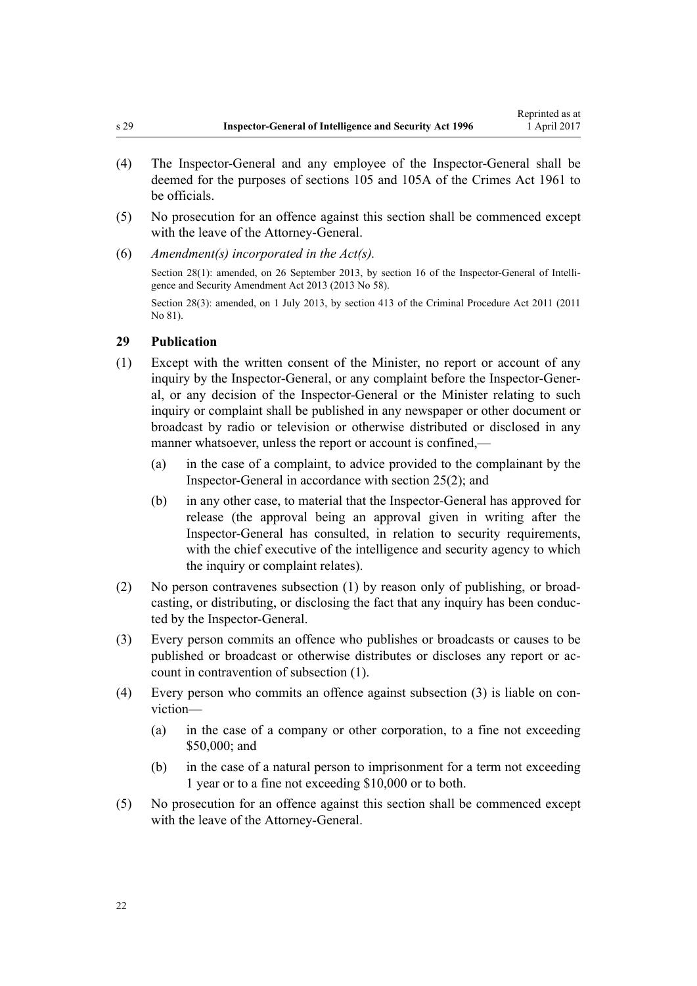- <span id="page-21-0"></span>(4) The Inspector-General and any employee of the Inspector-General shall be deemed for the purposes of [sections 105](http://prd-lgnz-nlb.prd.pco.net.nz/pdflink.aspx?id=DLM328753) and [105A](http://prd-lgnz-nlb.prd.pco.net.nz/pdflink.aspx?id=DLM328755) of the Crimes Act 1961 to be officials.
- (5) No prosecution for an offence against this section shall be commenced except with the leave of the Attorney-General.
- (6) *Amendment(s) incorporated in the [Act\(s\).](http://prd-lgnz-nlb.prd.pco.net.nz/pdflink.aspx?id=DLM311185)*

Section 28(1): amended, on 26 September 2013, by [section 16](http://prd-lgnz-nlb.prd.pco.net.nz/pdflink.aspx?id=DLM5495938) of the Inspector-General of Intelligence and Security Amendment Act 2013 (2013 No 58).

Section 28(3): amended, on 1 July 2013, by [section 413](http://prd-lgnz-nlb.prd.pco.net.nz/pdflink.aspx?id=DLM3360714) of the Criminal Procedure Act 2011 (2011) No 81).

## **29 Publication**

- (1) Except with the written consent of the Minister, no report or account of any inquiry by the Inspector-General, or any complaint before the Inspector-General, or any decision of the Inspector-General or the Minister relating to such inquiry or complaint shall be published in any newspaper or other document or broadcast by radio or television or otherwise distributed or disclosed in any manner whatsoever, unless the report or account is confined,—
	- (a) in the case of a complaint, to advice provided to the complainant by the Inspector-General in accordance with [section 25\(2\);](#page-16-0) and
	- (b) in any other case, to material that the Inspector-General has approved for release (the approval being an approval given in writing after the Inspector-General has consulted, in relation to security requirements, with the chief executive of the intelligence and security agency to which the inquiry or complaint relates).
- (2) No person contravenes subsection (1) by reason only of publishing, or broadcasting, or distributing, or disclosing the fact that any inquiry has been conducted by the Inspector-General.
- (3) Every person commits an offence who publishes or broadcasts or causes to be published or broadcast or otherwise distributes or discloses any report or account in contravention of subsection (1).
- (4) Every person who commits an offence against subsection (3) is liable on conviction—
	- (a) in the case of a company or other corporation, to a fine not exceeding \$50,000; and
	- (b) in the case of a natural person to imprisonment for a term not exceeding 1 year or to a fine not exceeding \$10,000 or to both.
- (5) No prosecution for an offence against this section shall be commenced except with the leave of the Attorney-General.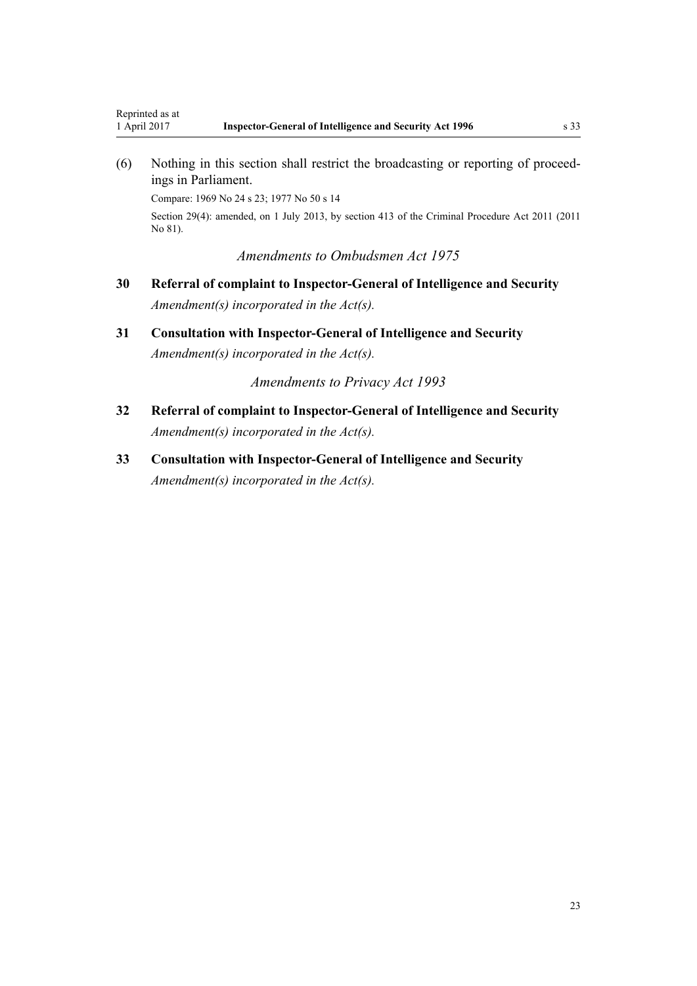<span id="page-22-0"></span>(6) Nothing in this section shall restrict the broadcasting or reporting of proceedings in Parliament.

Compare: 1969 No 24 [s 23](http://prd-lgnz-nlb.prd.pco.net.nz/pdflink.aspx?id=DLM392053); 1977 No 50 s 14

Section 29(4): amended, on 1 July 2013, by [section 413](http://prd-lgnz-nlb.prd.pco.net.nz/pdflink.aspx?id=DLM3360714) of the Criminal Procedure Act 2011 (2011 No 81).

*Amendments to Ombudsmen Act 1975*

- **30 Referral of complaint to Inspector-General of Intelligence and Security** *Amendment(s) incorporated in the [Act\(s\).](http://prd-lgnz-nlb.prd.pco.net.nz/pdflink.aspx?id=DLM430983)*
- **31 Consultation with Inspector-General of Intelligence and Security** *Amendment(s) incorporated in the [Act\(s\).](http://prd-lgnz-nlb.prd.pco.net.nz/pdflink.aspx?id=DLM430983)*

*Amendments to Privacy Act 1993*

- **32 Referral of complaint to Inspector-General of Intelligence and Security** *Amendment(s) incorporated in the [Act\(s\).](http://prd-lgnz-nlb.prd.pco.net.nz/pdflink.aspx?id=DLM297450)*
- **33 Consultation with Inspector-General of Intelligence and Security** *Amendment(s) incorporated in the [Act\(s\).](http://prd-lgnz-nlb.prd.pco.net.nz/pdflink.aspx?id=DLM298415)*